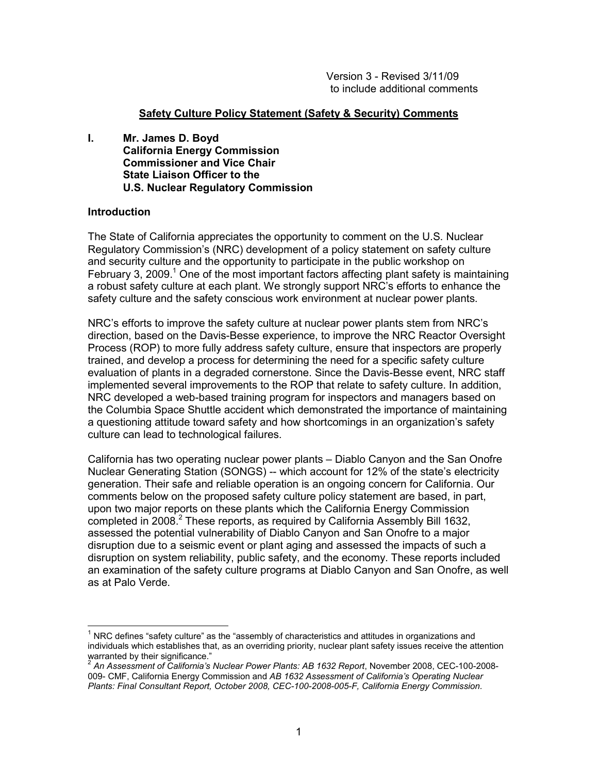#### **Safety Culture Policy Statement (Safety & Security) Comments**

**I. Mr. James D. Boyd California Energy Commission Commissioner and Vice Chair State Liaison Officer to the U.S. Nuclear Regulatory Commission** 

#### **Introduction**

-

The State of California appreciates the opportunity to comment on the U.S. Nuclear Regulatory Commission's (NRC) development of a policy statement on safety culture and security culture and the opportunity to participate in the public workshop on February 3, 2009.<sup>1</sup> One of the most important factors affecting plant safety is maintaining a robust safety culture at each plant. We strongly support NRC's efforts to enhance the safety culture and the safety conscious work environment at nuclear power plants.

NRC's efforts to improve the safety culture at nuclear power plants stem from NRC's direction, based on the Davis-Besse experience, to improve the NRC Reactor Oversight Process (ROP) to more fully address safety culture, ensure that inspectors are properly trained, and develop a process for determining the need for a specific safety culture evaluation of plants in a degraded cornerstone. Since the Davis-Besse event, NRC staff implemented several improvements to the ROP that relate to safety culture. In addition, NRC developed a web-based training program for inspectors and managers based on the Columbia Space Shuttle accident which demonstrated the importance of maintaining a questioning attitude toward safety and how shortcomings in an organization's safety culture can lead to technological failures.

California has two operating nuclear power plants – Diablo Canyon and the San Onofre Nuclear Generating Station (SONGS) -- which account for 12% of the state's electricity generation. Their safe and reliable operation is an ongoing concern for California. Our comments below on the proposed safety culture policy statement are based, in part, upon two major reports on these plants which the California Energy Commission completed in 2008.<sup>2</sup> These reports, as required by California Assembly Bill 1632, assessed the potential vulnerability of Diablo Canyon and San Onofre to a major disruption due to a seismic event or plant aging and assessed the impacts of such a disruption on system reliability, public safety, and the economy. These reports included an examination of the safety culture programs at Diablo Canyon and San Onofre, as well as at Palo Verde.

<sup>1</sup> NRC defines "safety culture" as the "assembly of characteristics and attitudes in organizations and individuals which establishes that, as an overriding priority, nuclear plant safety issues receive the attention warranted by their significance."

<sup>2</sup> *An Assessment of California's Nuclear Power Plants: AB 1632 Report*, November 2008, CEC-100-2008- 009- CMF, California Energy Commission and *AB 1632 Assessment of California's Operating Nuclear Plants: Final Consultant Report, October 2008, CEC-100-2008-005-F, California Energy Commission.*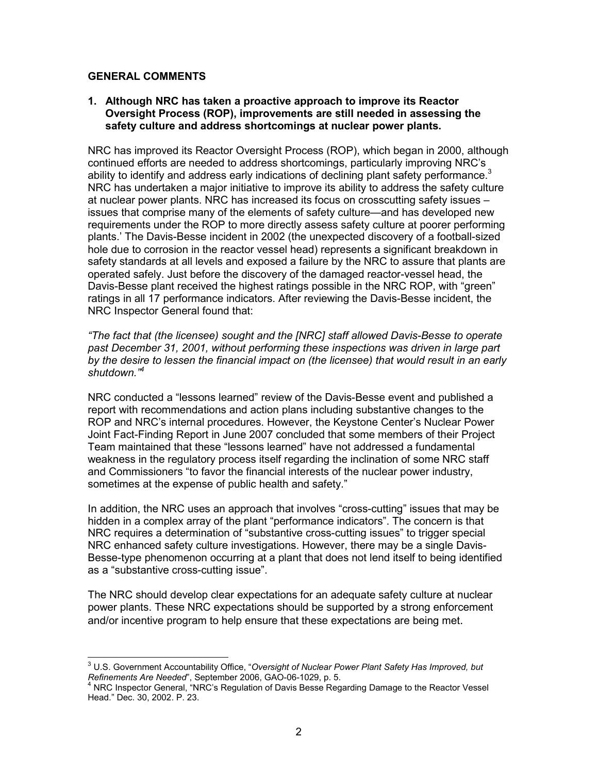#### **GENERAL COMMENTS**

#### **1. Although NRC has taken a proactive approach to improve its Reactor Oversight Process (ROP), improvements are still needed in assessing the safety culture and address shortcomings at nuclear power plants.**

NRC has improved its Reactor Oversight Process (ROP), which began in 2000, although continued efforts are needed to address shortcomings, particularly improving NRC's ability to identify and address early indications of declining plant safety performance.<sup>3</sup> NRC has undertaken a major initiative to improve its ability to address the safety culture at nuclear power plants. NRC has increased its focus on crosscutting safety issues – issues that comprise many of the elements of safety culture—and has developed new requirements under the ROP to more directly assess safety culture at poorer performing plants.' The Davis-Besse incident in 2002 (the unexpected discovery of a football-sized hole due to corrosion in the reactor vessel head) represents a significant breakdown in safety standards at all levels and exposed a failure by the NRC to assure that plants are operated safely. Just before the discovery of the damaged reactor-vessel head, the Davis-Besse plant received the highest ratings possible in the NRC ROP, with "green" ratings in all 17 performance indicators. After reviewing the Davis-Besse incident, the NRC Inspector General found that:

*"The fact that (the licensee) sought and the [NRC] staff allowed Davis-Besse to operate past December 31, 2001, without performing these inspections was driven in large part by the desire to lessen the financial impact on (the licensee) that would result in an early shutdown."4*

NRC conducted a "lessons learned" review of the Davis-Besse event and published a report with recommendations and action plans including substantive changes to the ROP and NRC's internal procedures. However, the Keystone Center's Nuclear Power Joint Fact-Finding Report in June 2007 concluded that some members of their Project Team maintained that these "lessons learned" have not addressed a fundamental weakness in the regulatory process itself regarding the inclination of some NRC staff and Commissioners "to favor the financial interests of the nuclear power industry, sometimes at the expense of public health and safety."

In addition, the NRC uses an approach that involves "cross-cutting" issues that may be hidden in a complex array of the plant "performance indicators". The concern is that NRC requires a determination of "substantive cross-cutting issues" to trigger special NRC enhanced safety culture investigations. However, there may be a single Davis-Besse-type phenomenon occurring at a plant that does not lend itself to being identified as a "substantive cross-cutting issue".

The NRC should develop clear expectations for an adequate safety culture at nuclear power plants. These NRC expectations should be supported by a strong enforcement and/or incentive program to help ensure that these expectations are being met.

 3 U.S. Government Accountability Office, "*Oversight of Nuclear Power Plant Safety Has Improved, but Refinements Are Needed*", September 2006, GAO-06-1029, p. 5. 4

 $4$  NRC Inspector General, "NRC's Regulation of Davis Besse Regarding Damage to the Reactor Vessel Head." Dec. 30, 2002. P. 23.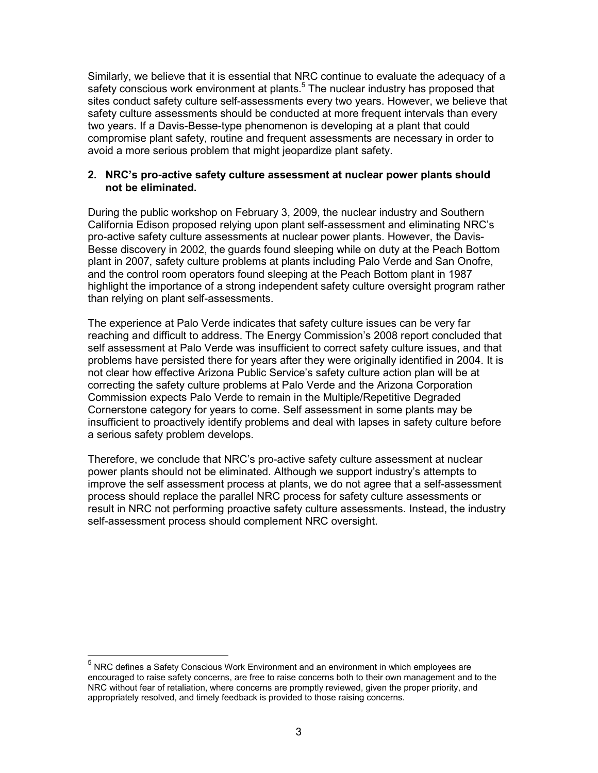Similarly, we believe that it is essential that NRC continue to evaluate the adequacy of a safety conscious work environment at plants.<sup>5</sup> The nuclear industry has proposed that sites conduct safety culture self-assessments every two years. However, we believe that safety culture assessments should be conducted at more frequent intervals than every two years. If a Davis-Besse-type phenomenon is developing at a plant that could compromise plant safety, routine and frequent assessments are necessary in order to avoid a more serious problem that might jeopardize plant safety.

#### **2. NRC's pro-active safety culture assessment at nuclear power plants should not be eliminated.**

During the public workshop on February 3, 2009, the nuclear industry and Southern California Edison proposed relying upon plant self-assessment and eliminating NRC's pro-active safety culture assessments at nuclear power plants. However, the Davis-Besse discovery in 2002, the guards found sleeping while on duty at the Peach Bottom plant in 2007, safety culture problems at plants including Palo Verde and San Onofre, and the control room operators found sleeping at the Peach Bottom plant in 1987 highlight the importance of a strong independent safety culture oversight program rather than relying on plant self-assessments.

The experience at Palo Verde indicates that safety culture issues can be very far reaching and difficult to address. The Energy Commission's 2008 report concluded that self assessment at Palo Verde was insufficient to correct safety culture issues, and that problems have persisted there for years after they were originally identified in 2004. It is not clear how effective Arizona Public Service's safety culture action plan will be at correcting the safety culture problems at Palo Verde and the Arizona Corporation Commission expects Palo Verde to remain in the Multiple/Repetitive Degraded Cornerstone category for years to come. Self assessment in some plants may be insufficient to proactively identify problems and deal with lapses in safety culture before a serious safety problem develops.

Therefore, we conclude that NRC's pro-active safety culture assessment at nuclear power plants should not be eliminated. Although we support industry's attempts to improve the self assessment process at plants, we do not agree that a self-assessment process should replace the parallel NRC process for safety culture assessments or result in NRC not performing proactive safety culture assessments. Instead, the industry self-assessment process should complement NRC oversight.

-

 $<sup>5</sup>$  NRC defines a Safety Conscious Work Environment and an environment in which employees are</sup> encouraged to raise safety concerns, are free to raise concerns both to their own management and to the NRC without fear of retaliation, where concerns are promptly reviewed, given the proper priority, and appropriately resolved, and timely feedback is provided to those raising concerns.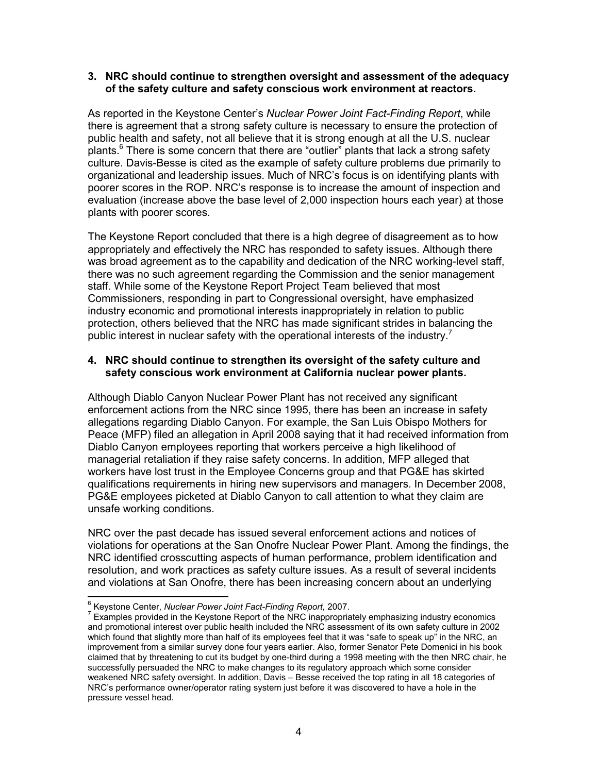#### **3. NRC should continue to strengthen oversight and assessment of the adequacy of the safety culture and safety conscious work environment at reactors.**

As reported in the Keystone Center's *Nuclear Power Joint Fact-Finding Report*, while there is agreement that a strong safety culture is necessary to ensure the protection of public health and safety, not all believe that it is strong enough at all the U.S. nuclear plants. $6$  There is some concern that there are "outlier" plants that lack a strong safety culture. Davis-Besse is cited as the example of safety culture problems due primarily to organizational and leadership issues. Much of NRC's focus is on identifying plants with poorer scores in the ROP. NRC's response is to increase the amount of inspection and evaluation (increase above the base level of 2,000 inspection hours each year) at those plants with poorer scores.

The Keystone Report concluded that there is a high degree of disagreement as to how appropriately and effectively the NRC has responded to safety issues. Although there was broad agreement as to the capability and dedication of the NRC working-level staff, there was no such agreement regarding the Commission and the senior management staff. While some of the Keystone Report Project Team believed that most Commissioners, responding in part to Congressional oversight, have emphasized industry economic and promotional interests inappropriately in relation to public protection, others believed that the NRC has made significant strides in balancing the public interest in nuclear safety with the operational interests of the industry.<sup>7</sup>

# **4. NRC should continue to strengthen its oversight of the safety culture and safety conscious work environment at California nuclear power plants.**

Although Diablo Canyon Nuclear Power Plant has not received any significant enforcement actions from the NRC since 1995, there has been an increase in safety allegations regarding Diablo Canyon. For example, the San Luis Obispo Mothers for Peace (MFP) filed an allegation in April 2008 saying that it had received information from Diablo Canyon employees reporting that workers perceive a high likelihood of managerial retaliation if they raise safety concerns. In addition, MFP alleged that workers have lost trust in the Employee Concerns group and that PG&E has skirted qualifications requirements in hiring new supervisors and managers. In December 2008, PG&E employees picketed at Diablo Canyon to call attention to what they claim are unsafe working conditions.

NRC over the past decade has issued several enforcement actions and notices of violations for operations at the San Onofre Nuclear Power Plant. Among the findings, the NRC identified crosscutting aspects of human performance, problem identification and resolution, and work practices as safety culture issues. As a result of several incidents and violations at San Onofre, there has been increasing concern about an underlying

<sup>-</sup><sup>6</sup> Keystone Center, *Nuclear Power Joint Fact-Finding Report, 2007.*<br><sup>7</sup> Examples arouided in the Kovetane Banert of the NBC inconsecries

 $7$  Examples provided in the Keystone Report of the NRC inappropriately emphasizing industry economics and promotional interest over public health included the NRC assessment of its own safety culture in 2002 which found that slightly more than half of its employees feel that it was "safe to speak up" in the NRC, an improvement from a similar survey done four years earlier. Also, former Senator Pete Domenici in his book claimed that by threatening to cut its budget by one-third during a 1998 meeting with the then NRC chair, he successfully persuaded the NRC to make changes to its regulatory approach which some consider weakened NRC safety oversight. In addition, Davis – Besse received the top rating in all 18 categories of NRC's performance owner/operator rating system just before it was discovered to have a hole in the pressure vessel head.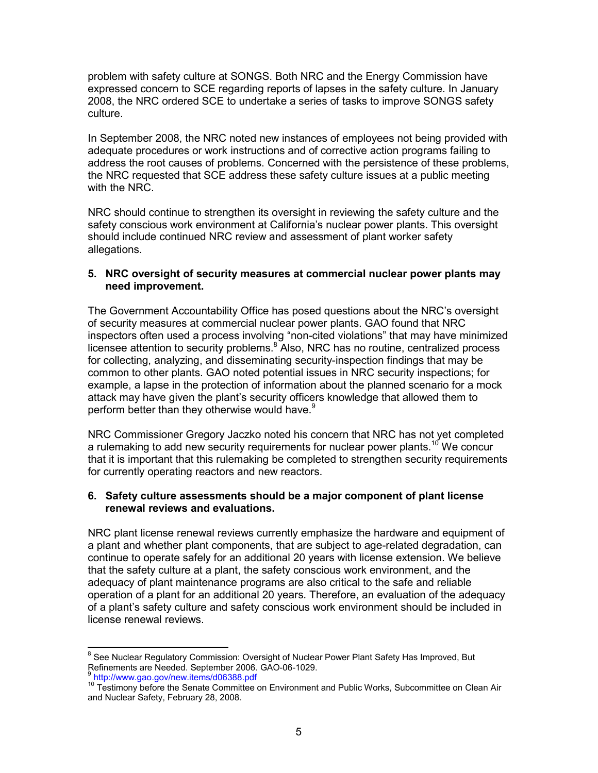problem with safety culture at SONGS. Both NRC and the Energy Commission have expressed concern to SCE regarding reports of lapses in the safety culture. In January 2008, the NRC ordered SCE to undertake a series of tasks to improve SONGS safety culture.

In September 2008, the NRC noted new instances of employees not being provided with adequate procedures or work instructions and of corrective action programs failing to address the root causes of problems. Concerned with the persistence of these problems, the NRC requested that SCE address these safety culture issues at a public meeting with the NRC.

NRC should continue to strengthen its oversight in reviewing the safety culture and the safety conscious work environment at California's nuclear power plants. This oversight should include continued NRC review and assessment of plant worker safety allegations.

#### **5. NRC oversight of security measures at commercial nuclear power plants may need improvement.**

The Government Accountability Office has posed questions about the NRC's oversight of security measures at commercial nuclear power plants. GAO found that NRC inspectors often used a process involving "non-cited violations" that may have minimized licensee attention to security problems. $8^{\circ}$  Also, NRC has no routine, centralized process for collecting, analyzing, and disseminating security-inspection findings that may be common to other plants. GAO noted potential issues in NRC security inspections; for example, a lapse in the protection of information about the planned scenario for a mock attack may have given the plant's security officers knowledge that allowed them to perform better than they otherwise would have.<sup>9</sup>

NRC Commissioner Gregory Jaczko noted his concern that NRC has not yet completed a rulemaking to add new security requirements for nuclear power plants.<sup>10</sup> We concur that it is important that this rulemaking be completed to strengthen security requirements for currently operating reactors and new reactors.

#### **6. Safety culture assessments should be a major component of plant license renewal reviews and evaluations.**

NRC plant license renewal reviews currently emphasize the hardware and equipment of a plant and whether plant components, that are subject to age-related degradation, can continue to operate safely for an additional 20 years with license extension. We believe that the safety culture at a plant, the safety conscious work environment, and the adequacy of plant maintenance programs are also critical to the safe and reliable operation of a plant for an additional 20 years. Therefore, an evaluation of the adequacy of a plant's safety culture and safety conscious work environment should be included in license renewal reviews.

 8 See Nuclear Regulatory Commission: Oversight of Nuclear Power Plant Safety Has Improved, But Refinements are Needed. September 2006. GAO-06-1029.

<sup>9</sup> http://www.gao.gov/new.items/d06388.pdf

 $10$  Testimony before the Senate Committee on Environment and Public Works, Subcommittee on Clean Air and Nuclear Safety, February 28, 2008.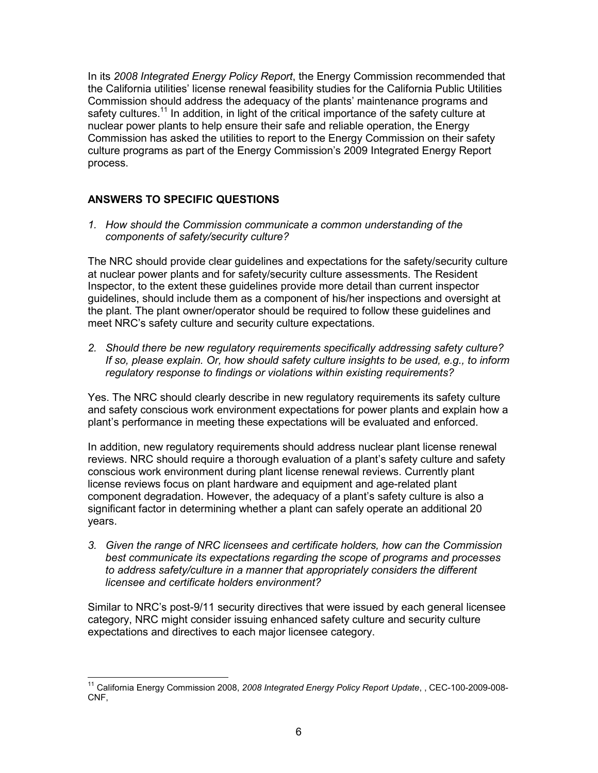In its *2008 Integrated Energy Policy Report*, the Energy Commission recommended that the California utilities' license renewal feasibility studies for the California Public Utilities Commission should address the adequacy of the plants' maintenance programs and safety cultures.<sup>11</sup> In addition, in light of the critical importance of the safety culture at nuclear power plants to help ensure their safe and reliable operation, the Energy Commission has asked the utilities to report to the Energy Commission on their safety culture programs as part of the Energy Commission's 2009 Integrated Energy Report process.

# **ANSWERS TO SPECIFIC QUESTIONS**

*1. How should the Commission communicate a common understanding of the components of safety/security culture?* 

The NRC should provide clear guidelines and expectations for the safety/security culture at nuclear power plants and for safety/security culture assessments. The Resident Inspector, to the extent these guidelines provide more detail than current inspector guidelines, should include them as a component of his/her inspections and oversight at the plant. The plant owner/operator should be required to follow these guidelines and meet NRC's safety culture and security culture expectations.

*2. Should there be new regulatory requirements specifically addressing safety culture? If so, please explain. Or, how should safety culture insights to be used, e.g., to inform regulatory response to findings or violations within existing requirements?* 

Yes. The NRC should clearly describe in new regulatory requirements its safety culture and safety conscious work environment expectations for power plants and explain how a plant's performance in meeting these expectations will be evaluated and enforced.

In addition, new regulatory requirements should address nuclear plant license renewal reviews. NRC should require a thorough evaluation of a plant's safety culture and safety conscious work environment during plant license renewal reviews. Currently plant license reviews focus on plant hardware and equipment and age-related plant component degradation. However, the adequacy of a plant's safety culture is also a significant factor in determining whether a plant can safely operate an additional 20 years.

*3. Given the range of NRC licensees and certificate holders, how can the Commission best communicate its expectations regarding the scope of programs and processes to address safety/culture in a manner that appropriately considers the different licensee and certificate holders environment?* 

Similar to NRC's post-9/11 security directives that were issued by each general licensee category, NRC might consider issuing enhanced safety culture and security culture expectations and directives to each major licensee category.

<sup>-</sup>11 California Energy Commission 2008, *2008 Integrated Energy Policy Report Update*, , CEC-100-2009-008- CNF,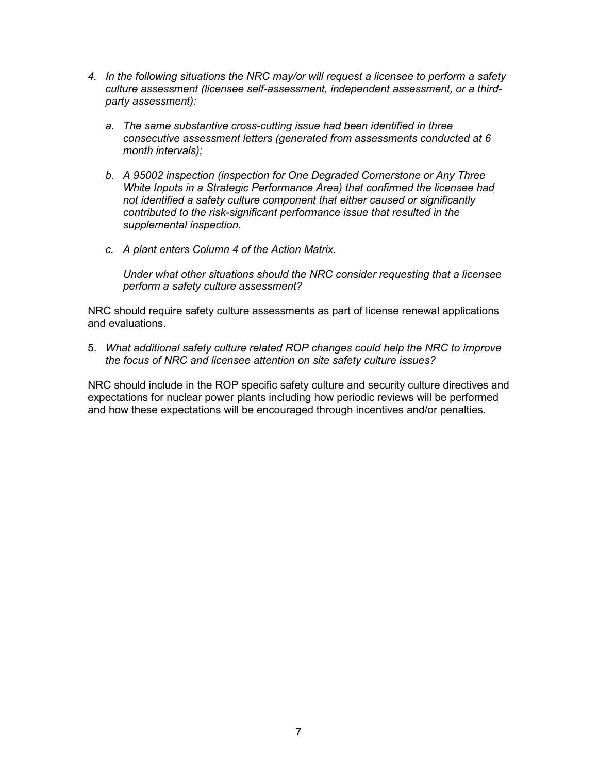- *4. In the following situations the NRC may/or will request a licensee to perform a safety culture assessment (licensee self-assessment, independent assessment, or a thirdparty assessment):* 
	- *a. The same substantive cross-cutting issue had been identified in three consecutive assessment letters (generated from assessments conducted at 6 month intervals);*
	- *b. A 95002 inspection (inspection for One Degraded Cornerstone or Any Three White Inputs in a Strategic Performance Area) that confirmed the licensee had not identified a safety culture component that either caused or significantly contributed to the risk-significant performance issue that resulted in the supplemental inspection.*
	- *c. A plant enters Column 4 of the Action Matrix.*

 *Under what other situations should the NRC consider requesting that a licensee perform a safety culture assessment?* 

NRC should require safety culture assessments as part of license renewal applications and evaluations.

5. *What additional safety culture related ROP changes could help the NRC to improve the focus of NRC and licensee attention on site safety culture issues?* 

NRC should include in the ROP specific safety culture and security culture directives and expectations for nuclear power plants including how periodic reviews will be performed and how these expectations will be encouraged through incentives and/or penalties.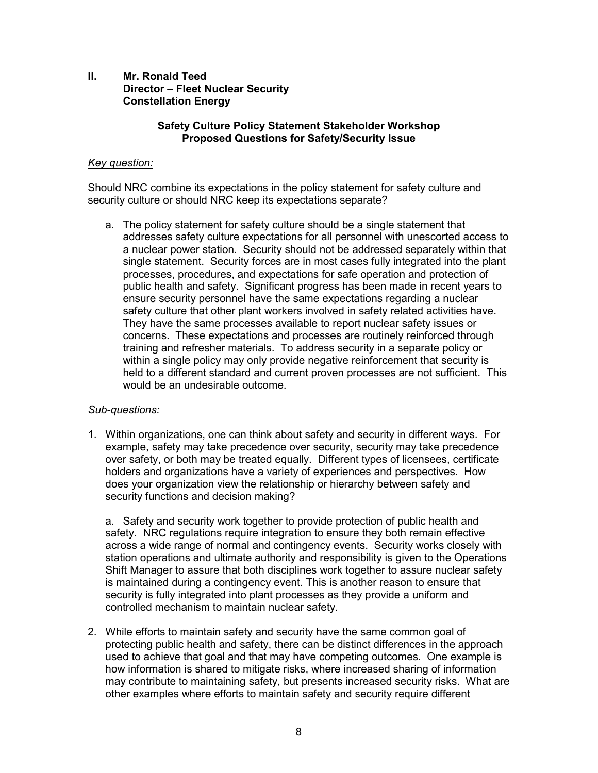# **II. Mr. Ronald Teed Director – Fleet Nuclear Security Constellation Energy**

#### **Safety Culture Policy Statement Stakeholder Workshop Proposed Questions for Safety/Security Issue**

# *Key question:*

Should NRC combine its expectations in the policy statement for safety culture and security culture or should NRC keep its expectations separate?

a. The policy statement for safety culture should be a single statement that addresses safety culture expectations for all personnel with unescorted access to a nuclear power station. Security should not be addressed separately within that single statement. Security forces are in most cases fully integrated into the plant processes, procedures, and expectations for safe operation and protection of public health and safety. Significant progress has been made in recent years to ensure security personnel have the same expectations regarding a nuclear safety culture that other plant workers involved in safety related activities have. They have the same processes available to report nuclear safety issues or concerns. These expectations and processes are routinely reinforced through training and refresher materials. To address security in a separate policy or within a single policy may only provide negative reinforcement that security is held to a different standard and current proven processes are not sufficient. This would be an undesirable outcome.

#### *Sub-questions:*

1. Within organizations, one can think about safety and security in different ways. For example, safety may take precedence over security, security may take precedence over safety, or both may be treated equally. Different types of licensees, certificate holders and organizations have a variety of experiences and perspectives. How does your organization view the relationship or hierarchy between safety and security functions and decision making?

a. Safety and security work together to provide protection of public health and safety. NRC regulations require integration to ensure they both remain effective across a wide range of normal and contingency events. Security works closely with station operations and ultimate authority and responsibility is given to the Operations Shift Manager to assure that both disciplines work together to assure nuclear safety is maintained during a contingency event. This is another reason to ensure that security is fully integrated into plant processes as they provide a uniform and controlled mechanism to maintain nuclear safety.

2. While efforts to maintain safety and security have the same common goal of protecting public health and safety, there can be distinct differences in the approach used to achieve that goal and that may have competing outcomes. One example is how information is shared to mitigate risks, where increased sharing of information may contribute to maintaining safety, but presents increased security risks. What are other examples where efforts to maintain safety and security require different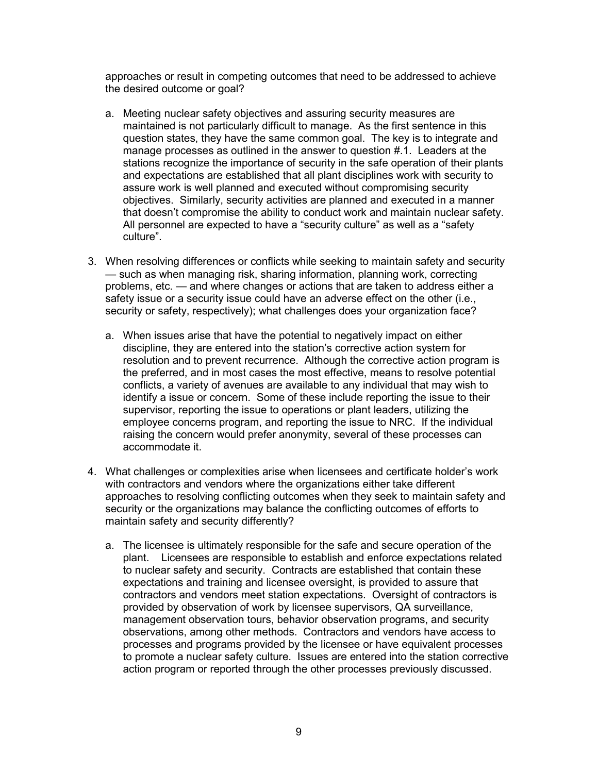approaches or result in competing outcomes that need to be addressed to achieve the desired outcome or goal?

- a. Meeting nuclear safety objectives and assuring security measures are maintained is not particularly difficult to manage. As the first sentence in this question states, they have the same common goal. The key is to integrate and manage processes as outlined in the answer to question #.1. Leaders at the stations recognize the importance of security in the safe operation of their plants and expectations are established that all plant disciplines work with security to assure work is well planned and executed without compromising security objectives. Similarly, security activities are planned and executed in a manner that doesn't compromise the ability to conduct work and maintain nuclear safety. All personnel are expected to have a "security culture" as well as a "safety culture".
- 3. When resolving differences or conflicts while seeking to maintain safety and security — such as when managing risk, sharing information, planning work, correcting problems, etc. — and where changes or actions that are taken to address either a safety issue or a security issue could have an adverse effect on the other (i.e., security or safety, respectively); what challenges does your organization face?
	- a. When issues arise that have the potential to negatively impact on either discipline, they are entered into the station's corrective action system for resolution and to prevent recurrence. Although the corrective action program is the preferred, and in most cases the most effective, means to resolve potential conflicts, a variety of avenues are available to any individual that may wish to identify a issue or concern. Some of these include reporting the issue to their supervisor, reporting the issue to operations or plant leaders, utilizing the employee concerns program, and reporting the issue to NRC. If the individual raising the concern would prefer anonymity, several of these processes can accommodate it.
- 4. What challenges or complexities arise when licensees and certificate holder's work with contractors and vendors where the organizations either take different approaches to resolving conflicting outcomes when they seek to maintain safety and security or the organizations may balance the conflicting outcomes of efforts to maintain safety and security differently?
	- a. The licensee is ultimately responsible for the safe and secure operation of the plant. Licensees are responsible to establish and enforce expectations related to nuclear safety and security. Contracts are established that contain these expectations and training and licensee oversight, is provided to assure that contractors and vendors meet station expectations. Oversight of contractors is provided by observation of work by licensee supervisors, QA surveillance, management observation tours, behavior observation programs, and security observations, among other methods. Contractors and vendors have access to processes and programs provided by the licensee or have equivalent processes to promote a nuclear safety culture. Issues are entered into the station corrective action program or reported through the other processes previously discussed.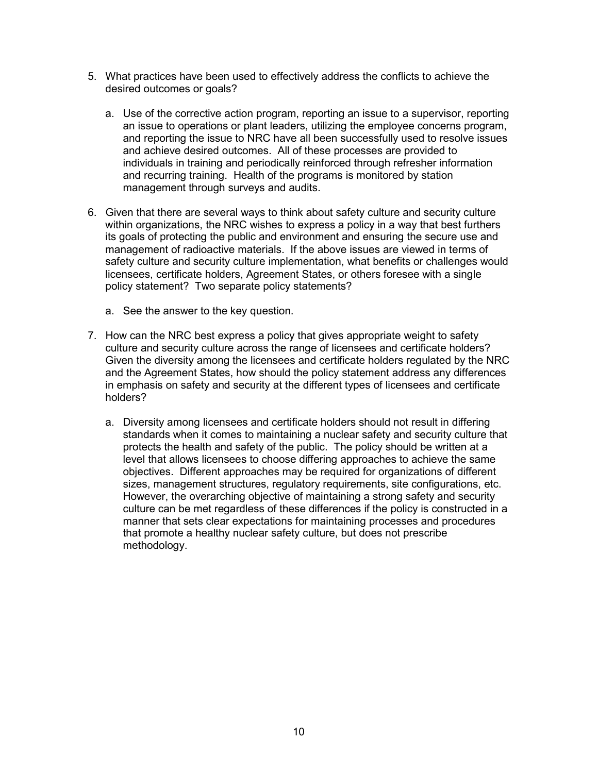- 5. What practices have been used to effectively address the conflicts to achieve the desired outcomes or goals?
	- a. Use of the corrective action program, reporting an issue to a supervisor, reporting an issue to operations or plant leaders, utilizing the employee concerns program, and reporting the issue to NRC have all been successfully used to resolve issues and achieve desired outcomes. All of these processes are provided to individuals in training and periodically reinforced through refresher information and recurring training. Health of the programs is monitored by station management through surveys and audits.
- 6. Given that there are several ways to think about safety culture and security culture within organizations, the NRC wishes to express a policy in a way that best furthers its goals of protecting the public and environment and ensuring the secure use and management of radioactive materials. If the above issues are viewed in terms of safety culture and security culture implementation, what benefits or challenges would licensees, certificate holders, Agreement States, or others foresee with a single policy statement? Two separate policy statements?
	- a. See the answer to the key question.
- 7. How can the NRC best express a policy that gives appropriate weight to safety culture and security culture across the range of licensees and certificate holders? Given the diversity among the licensees and certificate holders regulated by the NRC and the Agreement States, how should the policy statement address any differences in emphasis on safety and security at the different types of licensees and certificate holders?
	- a. Diversity among licensees and certificate holders should not result in differing standards when it comes to maintaining a nuclear safety and security culture that protects the health and safety of the public. The policy should be written at a level that allows licensees to choose differing approaches to achieve the same objectives. Different approaches may be required for organizations of different sizes, management structures, regulatory requirements, site configurations, etc. However, the overarching objective of maintaining a strong safety and security culture can be met regardless of these differences if the policy is constructed in a manner that sets clear expectations for maintaining processes and procedures that promote a healthy nuclear safety culture, but does not prescribe methodology.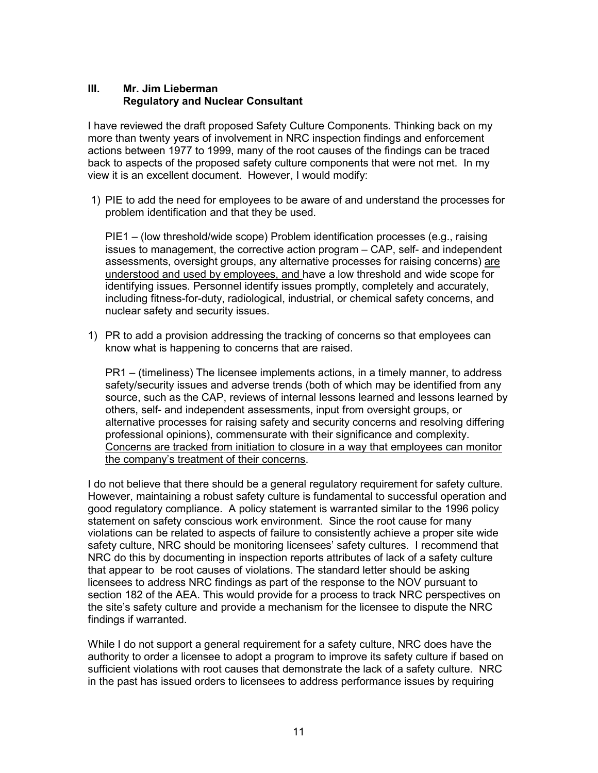# **III. Mr. Jim Lieberman Regulatory and Nuclear Consultant**

I have reviewed the draft proposed Safety Culture Components. Thinking back on my more than twenty years of involvement in NRC inspection findings and enforcement actions between 1977 to 1999, many of the root causes of the findings can be traced back to aspects of the proposed safety culture components that were not met. In my view it is an excellent document. However, I would modify:

 1) PIE to add the need for employees to be aware of and understand the processes for problem identification and that they be used.

PIE1 – (low threshold/wide scope) Problem identification processes (e.g., raising issues to management, the corrective action program – CAP, self- and independent assessments, oversight groups, any alternative processes for raising concerns) are understood and used by employees, and have a low threshold and wide scope for identifying issues. Personnel identify issues promptly, completely and accurately, including fitness-for-duty, radiological, industrial, or chemical safety concerns, and nuclear safety and security issues.

1) PR to add a provision addressing the tracking of concerns so that employees can know what is happening to concerns that are raised.

PR1 – (timeliness) The licensee implements actions, in a timely manner, to address safety/security issues and adverse trends (both of which may be identified from any source, such as the CAP, reviews of internal lessons learned and lessons learned by others, self- and independent assessments, input from oversight groups, or alternative processes for raising safety and security concerns and resolving differing professional opinions), commensurate with their significance and complexity. Concerns are tracked from initiation to closure in a way that employees can monitor the company's treatment of their concerns.

I do not believe that there should be a general regulatory requirement for safety culture. However, maintaining a robust safety culture is fundamental to successful operation and good regulatory compliance. A policy statement is warranted similar to the 1996 policy statement on safety conscious work environment. Since the root cause for many violations can be related to aspects of failure to consistently achieve a proper site wide safety culture, NRC should be monitoring licensees' safety cultures. I recommend that NRC do this by documenting in inspection reports attributes of lack of a safety culture that appear to be root causes of violations. The standard letter should be asking licensees to address NRC findings as part of the response to the NOV pursuant to section 182 of the AEA. This would provide for a process to track NRC perspectives on the site's safety culture and provide a mechanism for the licensee to dispute the NRC findings if warranted.

While I do not support a general requirement for a safety culture, NRC does have the authority to order a licensee to adopt a program to improve its safety culture if based on sufficient violations with root causes that demonstrate the lack of a safety culture. NRC in the past has issued orders to licensees to address performance issues by requiring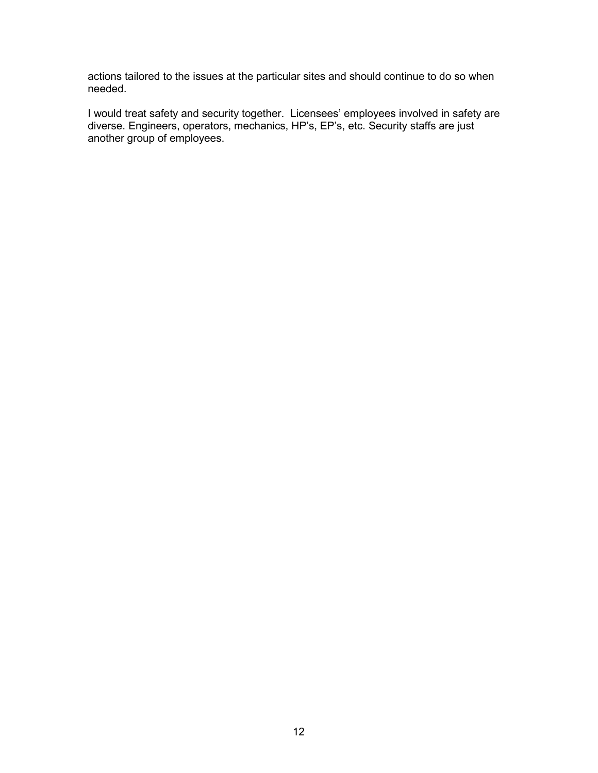actions tailored to the issues at the particular sites and should continue to do so when needed.

I would treat safety and security together. Licensees' employees involved in safety are diverse. Engineers, operators, mechanics, HP's, EP's, etc. Security staffs are just another group of employees.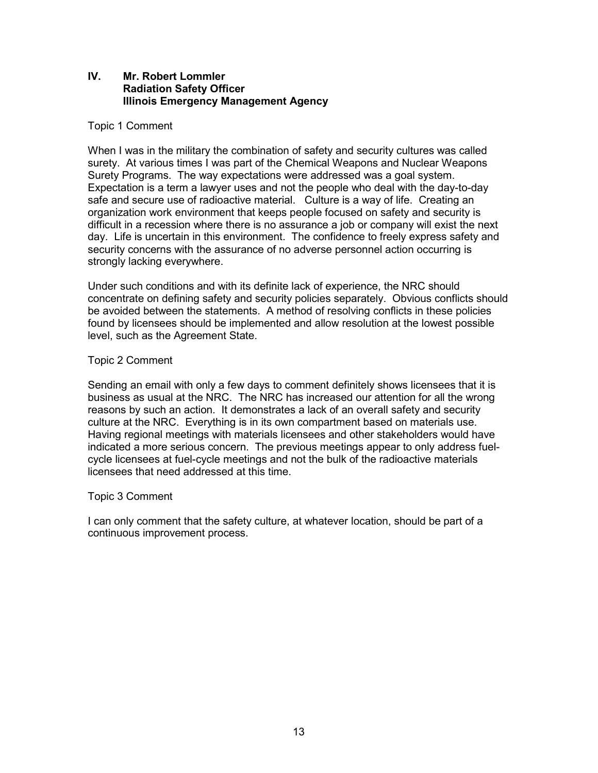# **IV. Mr. Robert Lommler Radiation Safety Officer Illinois Emergency Management Agency**

# Topic 1 Comment

When I was in the military the combination of safety and security cultures was called surety. At various times I was part of the Chemical Weapons and Nuclear Weapons Surety Programs. The way expectations were addressed was a goal system. Expectation is a term a lawyer uses and not the people who deal with the day-to-day safe and secure use of radioactive material. Culture is a way of life. Creating an organization work environment that keeps people focused on safety and security is difficult in a recession where there is no assurance a job or company will exist the next day. Life is uncertain in this environment. The confidence to freely express safety and security concerns with the assurance of no adverse personnel action occurring is strongly lacking everywhere.

Under such conditions and with its definite lack of experience, the NRC should concentrate on defining safety and security policies separately. Obvious conflicts should be avoided between the statements. A method of resolving conflicts in these policies found by licensees should be implemented and allow resolution at the lowest possible level, such as the Agreement State.

#### Topic 2 Comment

Sending an email with only a few days to comment definitely shows licensees that it is business as usual at the NRC. The NRC has increased our attention for all the wrong reasons by such an action. It demonstrates a lack of an overall safety and security culture at the NRC. Everything is in its own compartment based on materials use. Having regional meetings with materials licensees and other stakeholders would have indicated a more serious concern. The previous meetings appear to only address fuelcycle licensees at fuel-cycle meetings and not the bulk of the radioactive materials licensees that need addressed at this time.

#### Topic 3 Comment

I can only comment that the safety culture, at whatever location, should be part of a continuous improvement process.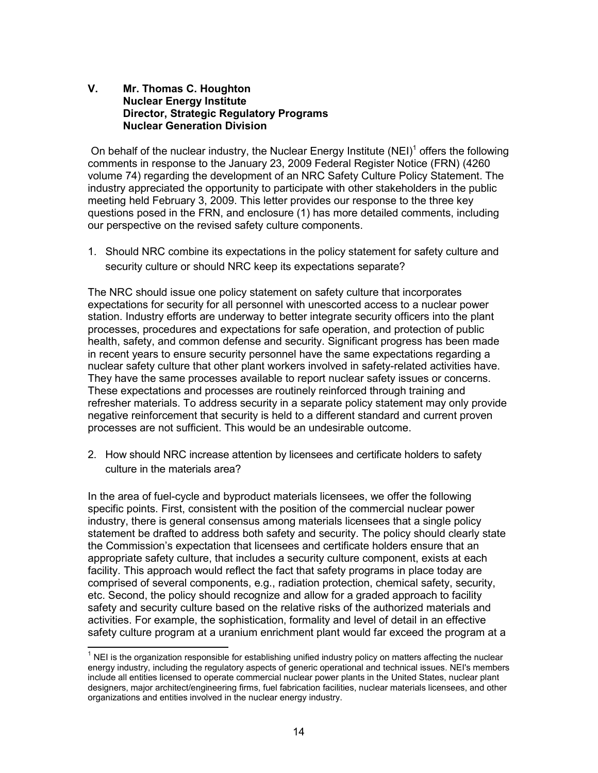# **V. Mr. Thomas C. Houghton Nuclear Energy Institute Director, Strategic Regulatory Programs Nuclear Generation Division**

On behalf of the nuclear industry, the Nuclear Energy Institute  $(NEI)^1$  offers the following comments in response to the January 23, 2009 Federal Register Notice (FRN) (4260 volume 74) regarding the development of an NRC Safety Culture Policy Statement. The industry appreciated the opportunity to participate with other stakeholders in the public meeting held February 3, 2009. This letter provides our response to the three key questions posed in the FRN, and enclosure (1) has more detailed comments, including our perspective on the revised safety culture components.

1. Should NRC combine its expectations in the policy statement for safety culture and security culture or should NRC keep its expectations separate?

The NRC should issue one policy statement on safety culture that incorporates expectations for security for all personnel with unescorted access to a nuclear power station. Industry efforts are underway to better integrate security officers into the plant processes, procedures and expectations for safe operation, and protection of public health, safety, and common defense and security. Significant progress has been made in recent years to ensure security personnel have the same expectations regarding a nuclear safety culture that other plant workers involved in safety-related activities have. They have the same processes available to report nuclear safety issues or concerns. These expectations and processes are routinely reinforced through training and refresher materials. To address security in a separate policy statement may only provide negative reinforcement that security is held to a different standard and current proven processes are not sufficient. This would be an undesirable outcome.

2. How should NRC increase attention by licensees and certificate holders to safety culture in the materials area?

In the area of fuel-cycle and byproduct materials licensees, we offer the following specific points. First, consistent with the position of the commercial nuclear power industry, there is general consensus among materials licensees that a single policy statement be drafted to address both safety and security. The policy should clearly state the Commission's expectation that licensees and certificate holders ensure that an appropriate safety culture, that includes a security culture component, exists at each facility. This approach would reflect the fact that safety programs in place today are comprised of several components, e.g., radiation protection, chemical safety, security, etc. Second, the policy should recognize and allow for a graded approach to facility safety and security culture based on the relative risks of the authorized materials and activities. For example, the sophistication, formality and level of detail in an effective safety culture program at a uranium enrichment plant would far exceed the program at a

-

 $1$  NEI is the organization responsible for establishing unified industry policy on matters affecting the nuclear energy industry, including the regulatory aspects of generic operational and technical issues. NEI's members include all entities licensed to operate commercial nuclear power plants in the United States, nuclear plant designers, major architect/engineering firms, fuel fabrication facilities, nuclear materials licensees, and other organizations and entities involved in the nuclear energy industry.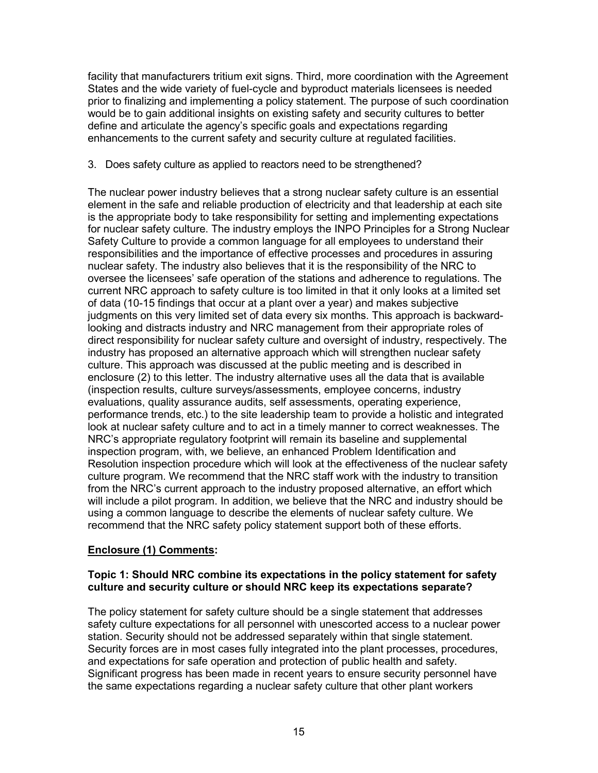facility that manufacturers tritium exit signs. Third, more coordination with the Agreement States and the wide variety of fuel-cycle and byproduct materials licensees is needed prior to finalizing and implementing a policy statement. The purpose of such coordination would be to gain additional insights on existing safety and security cultures to better define and articulate the agency's specific goals and expectations regarding enhancements to the current safety and security culture at regulated facilities.

# 3. Does safety culture as applied to reactors need to be strengthened?

The nuclear power industry believes that a strong nuclear safety culture is an essential element in the safe and reliable production of electricity and that leadership at each site is the appropriate body to take responsibility for setting and implementing expectations for nuclear safety culture. The industry employs the INPO Principles for a Strong Nuclear Safety Culture to provide a common language for all employees to understand their responsibilities and the importance of effective processes and procedures in assuring nuclear safety. The industry also believes that it is the responsibility of the NRC to oversee the licensees' safe operation of the stations and adherence to regulations. The current NRC approach to safety culture is too limited in that it only looks at a limited set of data (10-15 findings that occur at a plant over a year) and makes subjective judgments on this very limited set of data every six months. This approach is backwardlooking and distracts industry and NRC management from their appropriate roles of direct responsibility for nuclear safety culture and oversight of industry, respectively. The industry has proposed an alternative approach which will strengthen nuclear safety culture. This approach was discussed at the public meeting and is described in enclosure (2) to this letter. The industry alternative uses all the data that is available (inspection results, culture surveys/assessments, employee concerns, industry evaluations, quality assurance audits, self assessments, operating experience, performance trends, etc.) to the site leadership team to provide a holistic and integrated look at nuclear safety culture and to act in a timely manner to correct weaknesses. The NRC's appropriate regulatory footprint will remain its baseline and supplemental inspection program, with, we believe, an enhanced Problem Identification and Resolution inspection procedure which will look at the effectiveness of the nuclear safety culture program. We recommend that the NRC staff work with the industry to transition from the NRC's current approach to the industry proposed alternative, an effort which will include a pilot program. In addition, we believe that the NRC and industry should be using a common language to describe the elements of nuclear safety culture. We recommend that the NRC safety policy statement support both of these efforts.

# **Enclosure (1) Comments:**

# **Topic 1: Should NRC combine its expectations in the policy statement for safety culture and security culture or should NRC keep its expectations separate?**

The policy statement for safety culture should be a single statement that addresses safety culture expectations for all personnel with unescorted access to a nuclear power station. Security should not be addressed separately within that single statement. Security forces are in most cases fully integrated into the plant processes, procedures, and expectations for safe operation and protection of public health and safety. Significant progress has been made in recent years to ensure security personnel have the same expectations regarding a nuclear safety culture that other plant workers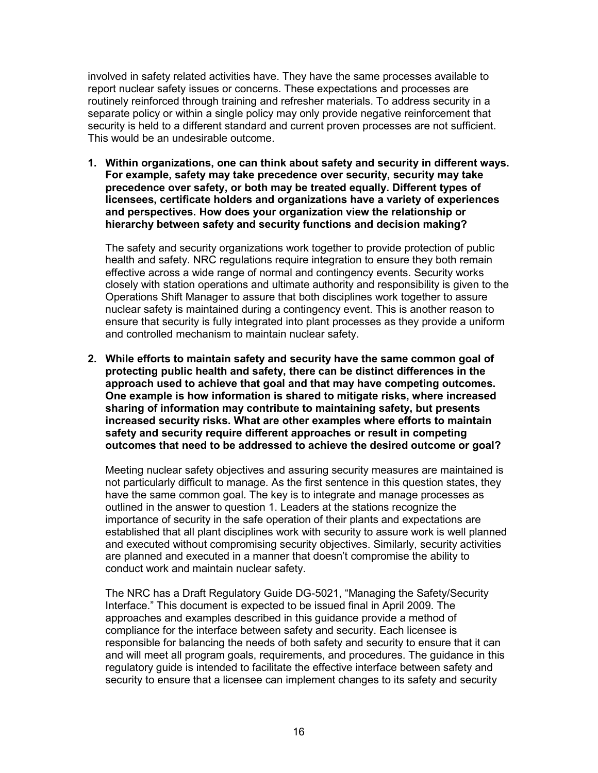involved in safety related activities have. They have the same processes available to report nuclear safety issues or concerns. These expectations and processes are routinely reinforced through training and refresher materials. To address security in a separate policy or within a single policy may only provide negative reinforcement that security is held to a different standard and current proven processes are not sufficient. This would be an undesirable outcome.

**1. Within organizations, one can think about safety and security in different ways. For example, safety may take precedence over security, security may take precedence over safety, or both may be treated equally. Different types of licensees, certificate holders and organizations have a variety of experiences and perspectives. How does your organization view the relationship or hierarchy between safety and security functions and decision making?** 

The safety and security organizations work together to provide protection of public health and safety. NRC regulations require integration to ensure they both remain effective across a wide range of normal and contingency events. Security works closely with station operations and ultimate authority and responsibility is given to the Operations Shift Manager to assure that both disciplines work together to assure nuclear safety is maintained during a contingency event. This is another reason to ensure that security is fully integrated into plant processes as they provide a uniform and controlled mechanism to maintain nuclear safety.

**2. While efforts to maintain safety and security have the same common goal of protecting public health and safety, there can be distinct differences in the approach used to achieve that goal and that may have competing outcomes. One example is how information is shared to mitigate risks, where increased sharing of information may contribute to maintaining safety, but presents increased security risks. What are other examples where efforts to maintain safety and security require different approaches or result in competing outcomes that need to be addressed to achieve the desired outcome or goal?** 

Meeting nuclear safety objectives and assuring security measures are maintained is not particularly difficult to manage. As the first sentence in this question states, they have the same common goal. The key is to integrate and manage processes as outlined in the answer to question 1. Leaders at the stations recognize the importance of security in the safe operation of their plants and expectations are established that all plant disciplines work with security to assure work is well planned and executed without compromising security objectives. Similarly, security activities are planned and executed in a manner that doesn't compromise the ability to conduct work and maintain nuclear safety.

The NRC has a Draft Regulatory Guide DG-5021, "Managing the Safety/Security Interface." This document is expected to be issued final in April 2009. The approaches and examples described in this guidance provide a method of compliance for the interface between safety and security. Each licensee is responsible for balancing the needs of both safety and security to ensure that it can and will meet all program goals, requirements, and procedures. The guidance in this regulatory guide is intended to facilitate the effective interface between safety and security to ensure that a licensee can implement changes to its safety and security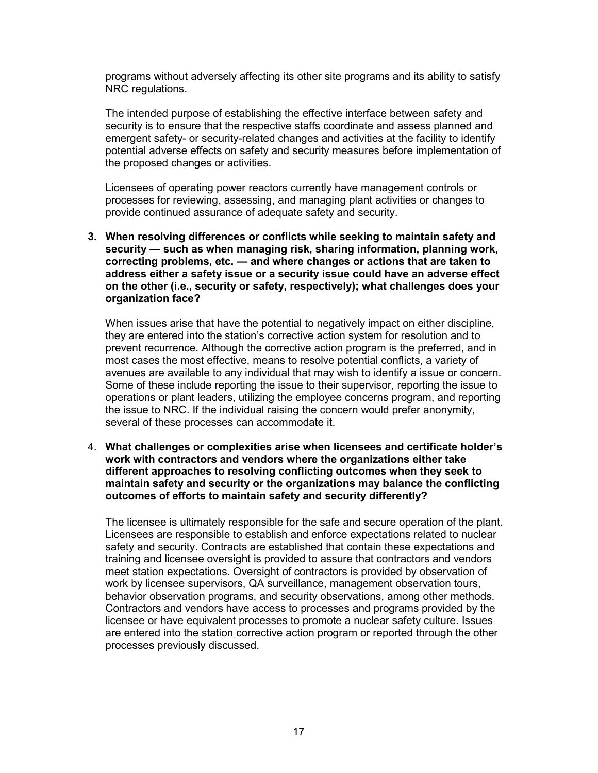programs without adversely affecting its other site programs and its ability to satisfy NRC regulations.

The intended purpose of establishing the effective interface between safety and security is to ensure that the respective staffs coordinate and assess planned and emergent safety- or security-related changes and activities at the facility to identify potential adverse effects on safety and security measures before implementation of the proposed changes or activities.

Licensees of operating power reactors currently have management controls or processes for reviewing, assessing, and managing plant activities or changes to provide continued assurance of adequate safety and security.

**3. When resolving differences or conflicts while seeking to maintain safety and security — such as when managing risk, sharing information, planning work, correcting problems, etc. — and where changes or actions that are taken to address either a safety issue or a security issue could have an adverse effect on the other (i.e., security or safety, respectively); what challenges does your organization face?** 

When issues arise that have the potential to negatively impact on either discipline, they are entered into the station's corrective action system for resolution and to prevent recurrence. Although the corrective action program is the preferred, and in most cases the most effective, means to resolve potential conflicts, a variety of avenues are available to any individual that may wish to identify a issue or concern. Some of these include reporting the issue to their supervisor, reporting the issue to operations or plant leaders, utilizing the employee concerns program, and reporting the issue to NRC. If the individual raising the concern would prefer anonymity, several of these processes can accommodate it.

4. **What challenges or complexities arise when licensees and certificate holder's work with contractors and vendors where the organizations either take different approaches to resolving conflicting outcomes when they seek to maintain safety and security or the organizations may balance the conflicting outcomes of efforts to maintain safety and security differently?** 

The licensee is ultimately responsible for the safe and secure operation of the plant. Licensees are responsible to establish and enforce expectations related to nuclear safety and security. Contracts are established that contain these expectations and training and licensee oversight is provided to assure that contractors and vendors meet station expectations. Oversight of contractors is provided by observation of work by licensee supervisors, QA surveillance, management observation tours, behavior observation programs, and security observations, among other methods. Contractors and vendors have access to processes and programs provided by the licensee or have equivalent processes to promote a nuclear safety culture. Issues are entered into the station corrective action program or reported through the other processes previously discussed.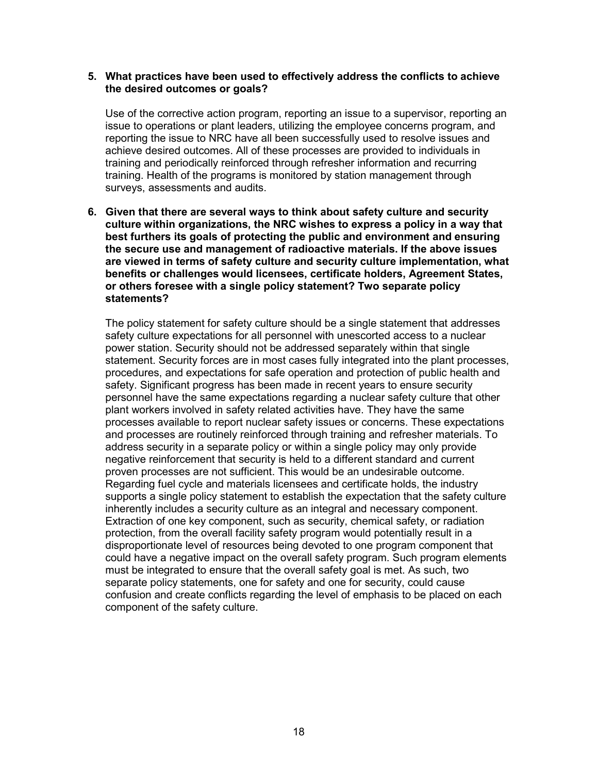#### **5. What practices have been used to effectively address the conflicts to achieve the desired outcomes or goals?**

Use of the corrective action program, reporting an issue to a supervisor, reporting an issue to operations or plant leaders, utilizing the employee concerns program, and reporting the issue to NRC have all been successfully used to resolve issues and achieve desired outcomes. All of these processes are provided to individuals in training and periodically reinforced through refresher information and recurring training. Health of the programs is monitored by station management through surveys, assessments and audits.

**6. Given that there are several ways to think about safety culture and security culture within organizations, the NRC wishes to express a policy in a way that best furthers its goals of protecting the public and environment and ensuring the secure use and management of radioactive materials. If the above issues are viewed in terms of safety culture and security culture implementation, what benefits or challenges would licensees, certificate holders, Agreement States, or others foresee with a single policy statement? Two separate policy statements?** 

The policy statement for safety culture should be a single statement that addresses safety culture expectations for all personnel with unescorted access to a nuclear power station. Security should not be addressed separately within that single statement. Security forces are in most cases fully integrated into the plant processes, procedures, and expectations for safe operation and protection of public health and safety. Significant progress has been made in recent years to ensure security personnel have the same expectations regarding a nuclear safety culture that other plant workers involved in safety related activities have. They have the same processes available to report nuclear safety issues or concerns. These expectations and processes are routinely reinforced through training and refresher materials. To address security in a separate policy or within a single policy may only provide negative reinforcement that security is held to a different standard and current proven processes are not sufficient. This would be an undesirable outcome. Regarding fuel cycle and materials licensees and certificate holds, the industry supports a single policy statement to establish the expectation that the safety culture inherently includes a security culture as an integral and necessary component. Extraction of one key component, such as security, chemical safety, or radiation protection, from the overall facility safety program would potentially result in a disproportionate level of resources being devoted to one program component that could have a negative impact on the overall safety program. Such program elements must be integrated to ensure that the overall safety goal is met. As such, two separate policy statements, one for safety and one for security, could cause confusion and create conflicts regarding the level of emphasis to be placed on each component of the safety culture.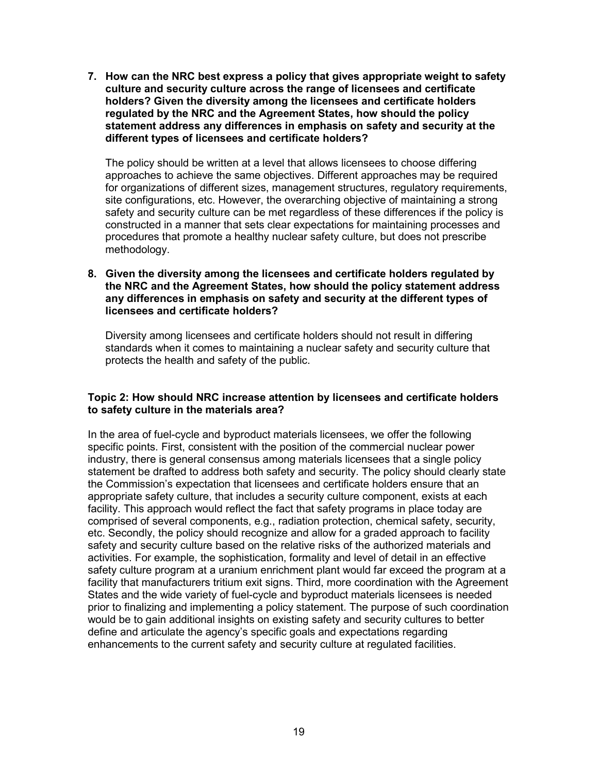**7. How can the NRC best express a policy that gives appropriate weight to safety culture and security culture across the range of licensees and certificate holders? Given the diversity among the licensees and certificate holders regulated by the NRC and the Agreement States, how should the policy statement address any differences in emphasis on safety and security at the different types of licensees and certificate holders?** 

The policy should be written at a level that allows licensees to choose differing approaches to achieve the same objectives. Different approaches may be required for organizations of different sizes, management structures, regulatory requirements, site configurations, etc. However, the overarching objective of maintaining a strong safety and security culture can be met regardless of these differences if the policy is constructed in a manner that sets clear expectations for maintaining processes and procedures that promote a healthy nuclear safety culture, but does not prescribe methodology.

**8. Given the diversity among the licensees and certificate holders regulated by the NRC and the Agreement States, how should the policy statement address any differences in emphasis on safety and security at the different types of licensees and certificate holders?** 

 Diversity among licensees and certificate holders should not result in differing standards when it comes to maintaining a nuclear safety and security culture that protects the health and safety of the public.

# **Topic 2: How should NRC increase attention by licensees and certificate holders to safety culture in the materials area?**

In the area of fuel-cycle and byproduct materials licensees, we offer the following specific points. First, consistent with the position of the commercial nuclear power industry, there is general consensus among materials licensees that a single policy statement be drafted to address both safety and security. The policy should clearly state the Commission's expectation that licensees and certificate holders ensure that an appropriate safety culture, that includes a security culture component, exists at each facility. This approach would reflect the fact that safety programs in place today are comprised of several components, e.g., radiation protection, chemical safety, security, etc. Secondly, the policy should recognize and allow for a graded approach to facility safety and security culture based on the relative risks of the authorized materials and activities. For example, the sophistication, formality and level of detail in an effective safety culture program at a uranium enrichment plant would far exceed the program at a facility that manufacturers tritium exit signs. Third, more coordination with the Agreement States and the wide variety of fuel-cycle and byproduct materials licensees is needed prior to finalizing and implementing a policy statement. The purpose of such coordination would be to gain additional insights on existing safety and security cultures to better define and articulate the agency's specific goals and expectations regarding enhancements to the current safety and security culture at regulated facilities.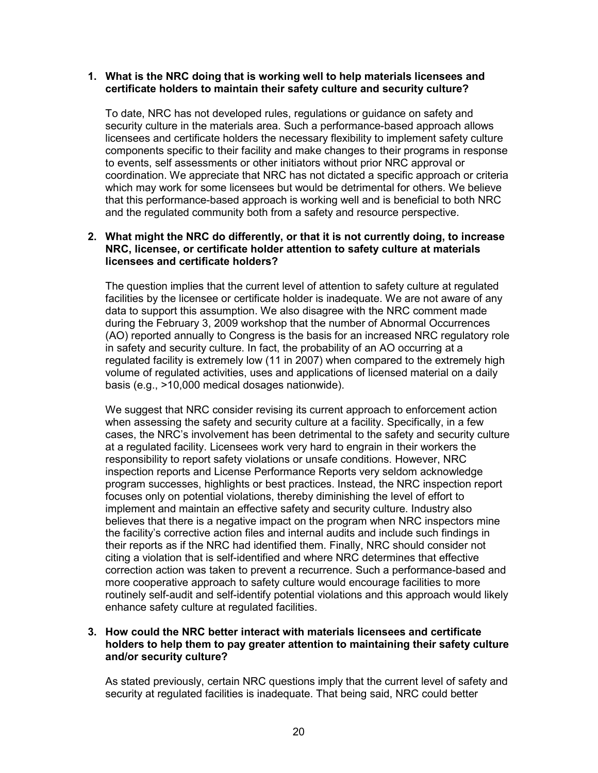#### **1. What is the NRC doing that is working well to help materials licensees and certificate holders to maintain their safety culture and security culture?**

 To date, NRC has not developed rules, regulations or guidance on safety and security culture in the materials area. Such a performance-based approach allows licensees and certificate holders the necessary flexibility to implement safety culture components specific to their facility and make changes to their programs in response to events, self assessments or other initiators without prior NRC approval or coordination. We appreciate that NRC has not dictated a specific approach or criteria which may work for some licensees but would be detrimental for others. We believe that this performance-based approach is working well and is beneficial to both NRC and the regulated community both from a safety and resource perspective.

#### **2. What might the NRC do differently, or that it is not currently doing, to increase NRC, licensee, or certificate holder attention to safety culture at materials licensees and certificate holders?**

The question implies that the current level of attention to safety culture at regulated facilities by the licensee or certificate holder is inadequate. We are not aware of any data to support this assumption. We also disagree with the NRC comment made during the February 3, 2009 workshop that the number of Abnormal Occurrences (AO) reported annually to Congress is the basis for an increased NRC regulatory role in safety and security culture. In fact, the probability of an AO occurring at a regulated facility is extremely low (11 in 2007) when compared to the extremely high volume of regulated activities, uses and applications of licensed material on a daily basis (e.g., >10,000 medical dosages nationwide).

We suggest that NRC consider revising its current approach to enforcement action when assessing the safety and security culture at a facility. Specifically, in a few cases, the NRC's involvement has been detrimental to the safety and security culture at a regulated facility. Licensees work very hard to engrain in their workers the responsibility to report safety violations or unsafe conditions. However, NRC inspection reports and License Performance Reports very seldom acknowledge program successes, highlights or best practices. Instead, the NRC inspection report focuses only on potential violations, thereby diminishing the level of effort to implement and maintain an effective safety and security culture. Industry also believes that there is a negative impact on the program when NRC inspectors mine the facility's corrective action files and internal audits and include such findings in their reports as if the NRC had identified them. Finally, NRC should consider not citing a violation that is self-identified and where NRC determines that effective correction action was taken to prevent a recurrence. Such a performance-based and more cooperative approach to safety culture would encourage facilities to more routinely self-audit and self-identify potential violations and this approach would likely enhance safety culture at regulated facilities.

# **3. How could the NRC better interact with materials licensees and certificate holders to help them to pay greater attention to maintaining their safety culture and/or security culture?**

As stated previously, certain NRC questions imply that the current level of safety and security at regulated facilities is inadequate. That being said, NRC could better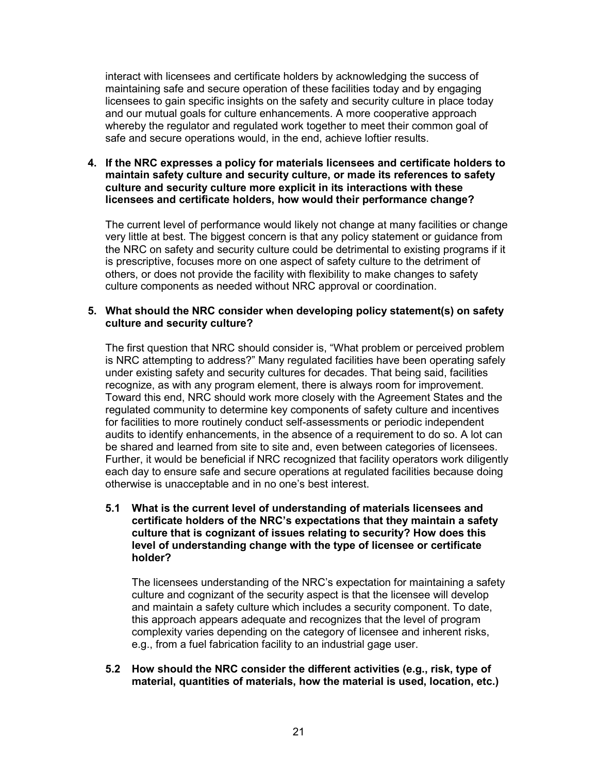interact with licensees and certificate holders by acknowledging the success of maintaining safe and secure operation of these facilities today and by engaging licensees to gain specific insights on the safety and security culture in place today and our mutual goals for culture enhancements. A more cooperative approach whereby the regulator and regulated work together to meet their common goal of safe and secure operations would, in the end, achieve loftier results.

**4. If the NRC expresses a policy for materials licensees and certificate holders to maintain safety culture and security culture, or made its references to safety culture and security culture more explicit in its interactions with these licensees and certificate holders, how would their performance change?** 

The current level of performance would likely not change at many facilities or change very little at best. The biggest concern is that any policy statement or guidance from the NRC on safety and security culture could be detrimental to existing programs if it is prescriptive, focuses more on one aspect of safety culture to the detriment of others, or does not provide the facility with flexibility to make changes to safety culture components as needed without NRC approval or coordination.

#### **5. What should the NRC consider when developing policy statement(s) on safety culture and security culture?**

The first question that NRC should consider is, "What problem or perceived problem is NRC attempting to address?" Many regulated facilities have been operating safely under existing safety and security cultures for decades. That being said, facilities recognize, as with any program element, there is always room for improvement. Toward this end, NRC should work more closely with the Agreement States and the regulated community to determine key components of safety culture and incentives for facilities to more routinely conduct self-assessments or periodic independent audits to identify enhancements, in the absence of a requirement to do so. A lot can be shared and learned from site to site and, even between categories of licensees. Further, it would be beneficial if NRC recognized that facility operators work diligently each day to ensure safe and secure operations at regulated facilities because doing otherwise is unacceptable and in no one's best interest.

 **5.1 What is the current level of understanding of materials licensees and certificate holders of the NRC's expectations that they maintain a safety culture that is cognizant of issues relating to security? How does this level of understanding change with the type of licensee or certificate holder?** 

 The licensees understanding of the NRC's expectation for maintaining a safety culture and cognizant of the security aspect is that the licensee will develop and maintain a safety culture which includes a security component. To date, this approach appears adequate and recognizes that the level of program complexity varies depending on the category of licensee and inherent risks, e.g., from a fuel fabrication facility to an industrial gage user.

#### **5.2 How should the NRC consider the different activities (e.g., risk, type of material, quantities of materials, how the material is used, location, etc.)**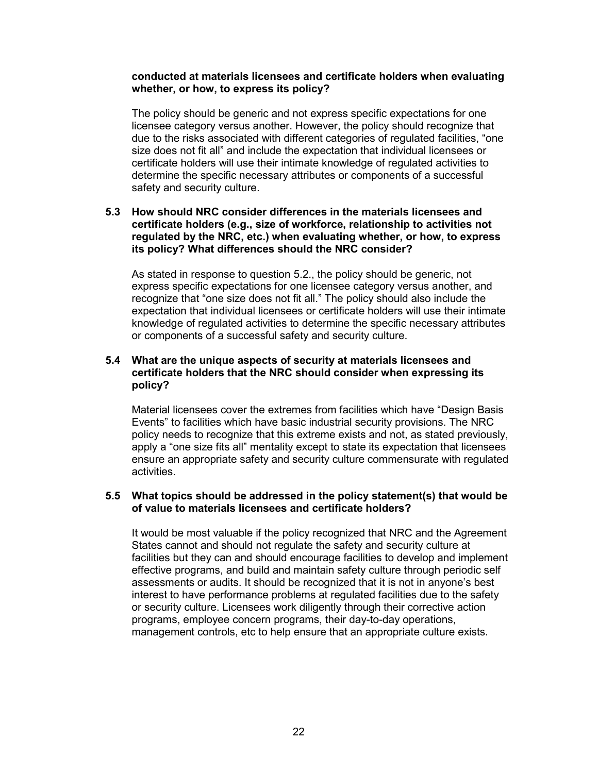#### **conducted at materials licensees and certificate holders when evaluating whether, or how, to express its policy?**

 The policy should be generic and not express specific expectations for one licensee category versus another. However, the policy should recognize that due to the risks associated with different categories of regulated facilities, "one size does not fit all" and include the expectation that individual licensees or certificate holders will use their intimate knowledge of regulated activities to determine the specific necessary attributes or components of a successful safety and security culture.

#### **5.3 How should NRC consider differences in the materials licensees and certificate holders (e.g., size of workforce, relationship to activities not regulated by the NRC, etc.) when evaluating whether, or how, to express its policy? What differences should the NRC consider?**

 As stated in response to question 5.2., the policy should be generic, not express specific expectations for one licensee category versus another, and recognize that "one size does not fit all." The policy should also include the expectation that individual licensees or certificate holders will use their intimate knowledge of regulated activities to determine the specific necessary attributes or components of a successful safety and security culture.

# **5.4 What are the unique aspects of security at materials licensees and certificate holders that the NRC should consider when expressing its policy?**

Material licensees cover the extremes from facilities which have "Design Basis Events" to facilities which have basic industrial security provisions. The NRC policy needs to recognize that this extreme exists and not, as stated previously, apply a "one size fits all" mentality except to state its expectation that licensees ensure an appropriate safety and security culture commensurate with regulated activities.

#### **5.5 What topics should be addressed in the policy statement(s) that would be of value to materials licensees and certificate holders?**

 It would be most valuable if the policy recognized that NRC and the Agreement States cannot and should not regulate the safety and security culture at facilities but they can and should encourage facilities to develop and implement effective programs, and build and maintain safety culture through periodic self assessments or audits. It should be recognized that it is not in anyone's best interest to have performance problems at regulated facilities due to the safety or security culture. Licensees work diligently through their corrective action programs, employee concern programs, their day-to-day operations, management controls, etc to help ensure that an appropriate culture exists.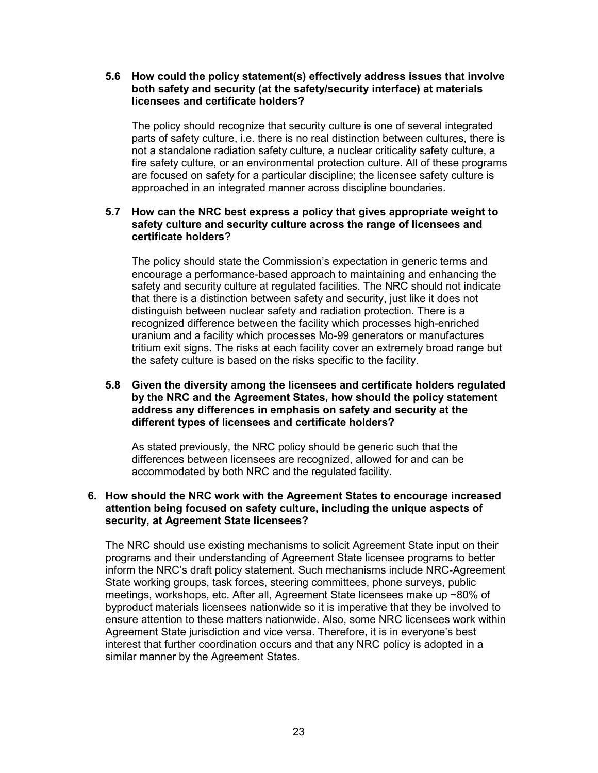#### **5.6 How could the policy statement(s) effectively address issues that involve both safety and security (at the safety/security interface) at materials licensees and certificate holders?**

 The policy should recognize that security culture is one of several integrated parts of safety culture, i.e. there is no real distinction between cultures, there is not a standalone radiation safety culture, a nuclear criticality safety culture, a fire safety culture, or an environmental protection culture. All of these programs are focused on safety for a particular discipline; the licensee safety culture is approached in an integrated manner across discipline boundaries.

# **5.7 How can the NRC best express a policy that gives appropriate weight to safety culture and security culture across the range of licensees and certificate holders?**

 The policy should state the Commission's expectation in generic terms and encourage a performance-based approach to maintaining and enhancing the safety and security culture at regulated facilities. The NRC should not indicate that there is a distinction between safety and security, just like it does not distinguish between nuclear safety and radiation protection. There is a recognized difference between the facility which processes high-enriched uranium and a facility which processes Mo-99 generators or manufactures tritium exit signs. The risks at each facility cover an extremely broad range but the safety culture is based on the risks specific to the facility.

# **5.8 Given the diversity among the licensees and certificate holders regulated by the NRC and the Agreement States, how should the policy statement address any differences in emphasis on safety and security at the different types of licensees and certificate holders?**

 As stated previously, the NRC policy should be generic such that the differences between licensees are recognized, allowed for and can be accommodated by both NRC and the regulated facility.

# **6. How should the NRC work with the Agreement States to encourage increased attention being focused on safety culture, including the unique aspects of security, at Agreement State licensees?**

The NRC should use existing mechanisms to solicit Agreement State input on their programs and their understanding of Agreement State licensee programs to better inform the NRC's draft policy statement. Such mechanisms include NRC-Agreement State working groups, task forces, steering committees, phone surveys, public meetings, workshops, etc. After all, Agreement State licensees make up ~80% of byproduct materials licensees nationwide so it is imperative that they be involved to ensure attention to these matters nationwide. Also, some NRC licensees work within Agreement State jurisdiction and vice versa. Therefore, it is in everyone's best interest that further coordination occurs and that any NRC policy is adopted in a similar manner by the Agreement States.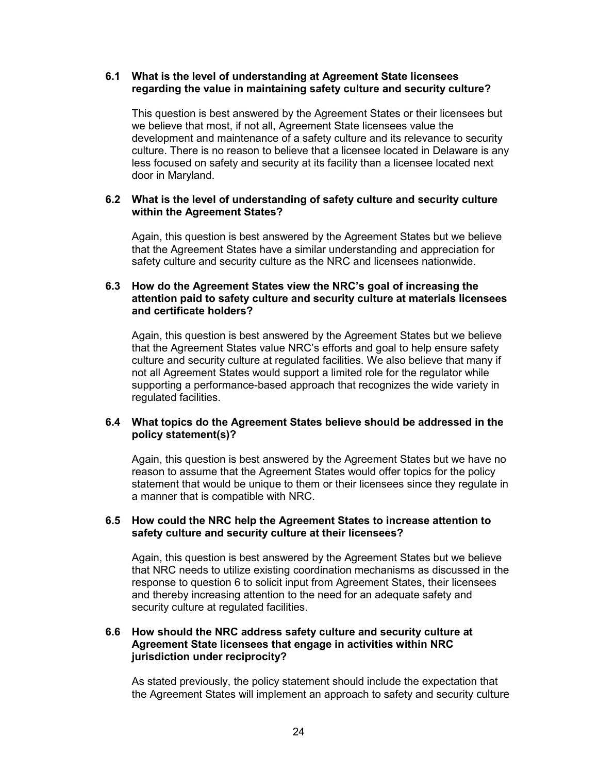# **6.1 What is the level of understanding at Agreement State licensees regarding the value in maintaining safety culture and security culture?**

 This question is best answered by the Agreement States or their licensees but we believe that most, if not all, Agreement State licensees value the development and maintenance of a safety culture and its relevance to security culture. There is no reason to believe that a licensee located in Delaware is any less focused on safety and security at its facility than a licensee located next door in Maryland.

# **6.2 What is the level of understanding of safety culture and security culture within the Agreement States?**

Again, this question is best answered by the Agreement States but we believe that the Agreement States have a similar understanding and appreciation for safety culture and security culture as the NRC and licensees nationwide.

# **6.3 How do the Agreement States view the NRC's goal of increasing the attention paid to safety culture and security culture at materials licensees and certificate holders?**

 Again, this question is best answered by the Agreement States but we believe that the Agreement States value NRC's efforts and goal to help ensure safety culture and security culture at regulated facilities. We also believe that many if not all Agreement States would support a limited role for the regulator while supporting a performance-based approach that recognizes the wide variety in regulated facilities.

# **6.4 What topics do the Agreement States believe should be addressed in the policy statement(s)?**

 Again, this question is best answered by the Agreement States but we have no reason to assume that the Agreement States would offer topics for the policy statement that would be unique to them or their licensees since they regulate in a manner that is compatible with NRC.

#### **6.5 How could the NRC help the Agreement States to increase attention to safety culture and security culture at their licensees?**

Again, this question is best answered by the Agreement States but we believe that NRC needs to utilize existing coordination mechanisms as discussed in the response to question 6 to solicit input from Agreement States, their licensees and thereby increasing attention to the need for an adequate safety and security culture at regulated facilities.

# **6.6 How should the NRC address safety culture and security culture at Agreement State licensees that engage in activities within NRC jurisdiction under reciprocity?**

 As stated previously, the policy statement should include the expectation that the Agreement States will implement an approach to safety and security culture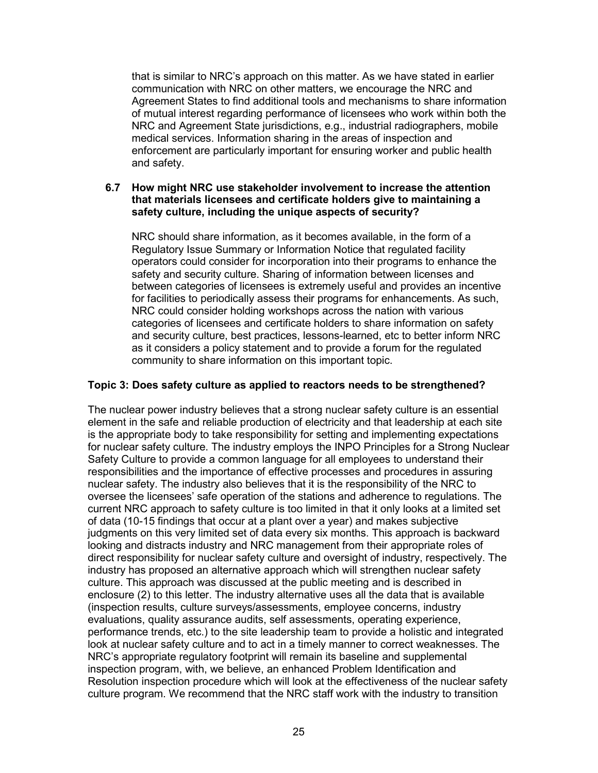that is similar to NRC's approach on this matter. As we have stated in earlier communication with NRC on other matters, we encourage the NRC and Agreement States to find additional tools and mechanisms to share information of mutual interest regarding performance of licensees who work within both the NRC and Agreement State jurisdictions, e.g., industrial radiographers, mobile medical services. Information sharing in the areas of inspection and enforcement are particularly important for ensuring worker and public health and safety.

# **6.7 How might NRC use stakeholder involvement to increase the attention that materials licensees and certificate holders give to maintaining a safety culture, including the unique aspects of security?**

 NRC should share information, as it becomes available, in the form of a Regulatory Issue Summary or Information Notice that regulated facility operators could consider for incorporation into their programs to enhance the safety and security culture. Sharing of information between licenses and between categories of licensees is extremely useful and provides an incentive for facilities to periodically assess their programs for enhancements. As such, NRC could consider holding workshops across the nation with various categories of licensees and certificate holders to share information on safety and security culture, best practices, lessons-learned, etc to better inform NRC as it considers a policy statement and to provide a forum for the regulated community to share information on this important topic.

# **Topic 3: Does safety culture as applied to reactors needs to be strengthened?**

The nuclear power industry believes that a strong nuclear safety culture is an essential element in the safe and reliable production of electricity and that leadership at each site is the appropriate body to take responsibility for setting and implementing expectations for nuclear safety culture. The industry employs the INPO Principles for a Strong Nuclear Safety Culture to provide a common language for all employees to understand their responsibilities and the importance of effective processes and procedures in assuring nuclear safety. The industry also believes that it is the responsibility of the NRC to oversee the licensees' safe operation of the stations and adherence to regulations. The current NRC approach to safety culture is too limited in that it only looks at a limited set of data (10-15 findings that occur at a plant over a year) and makes subjective judgments on this very limited set of data every six months. This approach is backward looking and distracts industry and NRC management from their appropriate roles of direct responsibility for nuclear safety culture and oversight of industry, respectively. The industry has proposed an alternative approach which will strengthen nuclear safety culture. This approach was discussed at the public meeting and is described in enclosure (2) to this letter. The industry alternative uses all the data that is available (inspection results, culture surveys/assessments, employee concerns, industry evaluations, quality assurance audits, self assessments, operating experience, performance trends, etc.) to the site leadership team to provide a holistic and integrated look at nuclear safety culture and to act in a timely manner to correct weaknesses. The NRC's appropriate regulatory footprint will remain its baseline and supplemental inspection program, with, we believe, an enhanced Problem Identification and Resolution inspection procedure which will look at the effectiveness of the nuclear safety culture program. We recommend that the NRC staff work with the industry to transition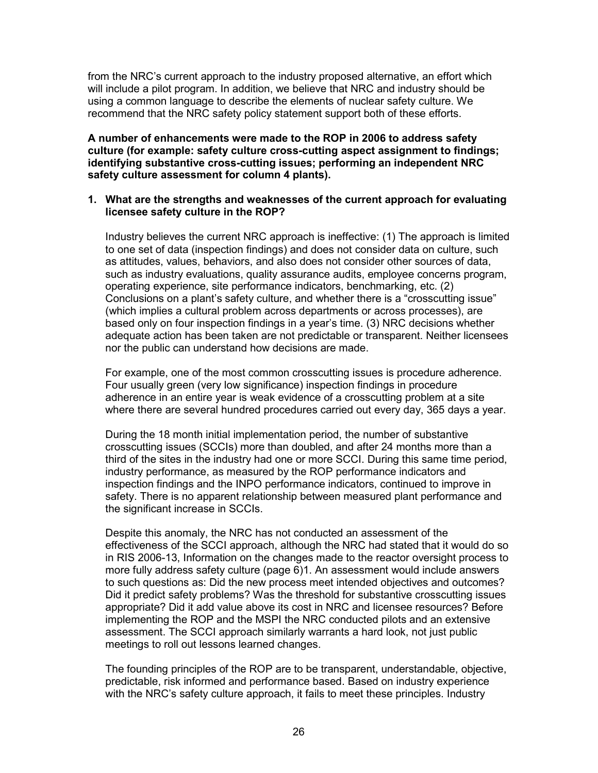from the NRC's current approach to the industry proposed alternative, an effort which will include a pilot program. In addition, we believe that NRC and industry should be using a common language to describe the elements of nuclear safety culture. We recommend that the NRC safety policy statement support both of these efforts.

**A number of enhancements were made to the ROP in 2006 to address safety culture (for example: safety culture cross-cutting aspect assignment to findings; identifying substantive cross-cutting issues; performing an independent NRC safety culture assessment for column 4 plants).** 

#### **1. What are the strengths and weaknesses of the current approach for evaluating licensee safety culture in the ROP?**

 Industry believes the current NRC approach is ineffective: (1) The approach is limited to one set of data (inspection findings) and does not consider data on culture, such as attitudes, values, behaviors, and also does not consider other sources of data, such as industry evaluations, quality assurance audits, employee concerns program, operating experience, site performance indicators, benchmarking, etc. (2) Conclusions on a plant's safety culture, and whether there is a "crosscutting issue" (which implies a cultural problem across departments or across processes), are based only on four inspection findings in a year's time. (3) NRC decisions whether adequate action has been taken are not predictable or transparent. Neither licensees nor the public can understand how decisions are made.

 For example, one of the most common crosscutting issues is procedure adherence. Four usually green (very low significance) inspection findings in procedure adherence in an entire year is weak evidence of a crosscutting problem at a site where there are several hundred procedures carried out every day, 365 days a year.

 During the 18 month initial implementation period, the number of substantive crosscutting issues (SCCIs) more than doubled, and after 24 months more than a third of the sites in the industry had one or more SCCI. During this same time period, industry performance, as measured by the ROP performance indicators and inspection findings and the INPO performance indicators, continued to improve in safety. There is no apparent relationship between measured plant performance and the significant increase in SCCIs.

 Despite this anomaly, the NRC has not conducted an assessment of the effectiveness of the SCCI approach, although the NRC had stated that it would do so in RIS 2006-13, Information on the changes made to the reactor oversight process to more fully address safety culture (page 6)1. An assessment would include answers to such questions as: Did the new process meet intended objectives and outcomes? Did it predict safety problems? Was the threshold for substantive crosscutting issues appropriate? Did it add value above its cost in NRC and licensee resources? Before implementing the ROP and the MSPI the NRC conducted pilots and an extensive assessment. The SCCI approach similarly warrants a hard look, not just public meetings to roll out lessons learned changes.

 The founding principles of the ROP are to be transparent, understandable, objective, predictable, risk informed and performance based. Based on industry experience with the NRC's safety culture approach, it fails to meet these principles. Industry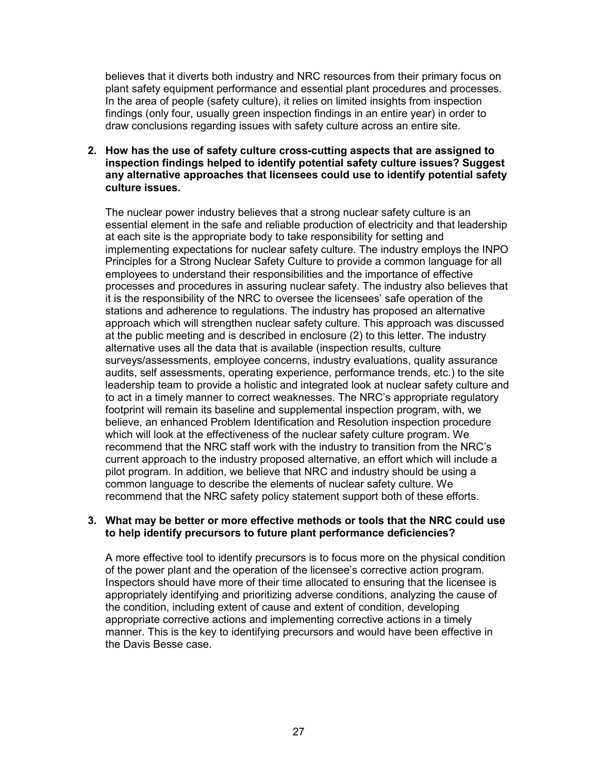believes that it diverts both industry and NRC resources from their primary focus on plant safety equipment performance and essential plant procedures and processes. In the area of people (safety culture), it relies on limited insights from inspection findings (only four, usually green inspection findings in an entire year) in order to draw conclusions regarding issues with safety culture across an entire site.

**2. How has the use of safety culture cross-cutting aspects that are assigned to inspection findings helped to identify potential safety culture issues? Suggest any alternative approaches that licensees could use to identify potential safety culture issues.** 

 The nuclear power industry believes that a strong nuclear safety culture is an essential element in the safe and reliable production of electricity and that leadership at each site is the appropriate body to take responsibility for setting and implementing expectations for nuclear safety culture. The industry employs the INPO Principles for a Strong Nuclear Safety Culture to provide a common language for all employees to understand their responsibilities and the importance of effective processes and procedures in assuring nuclear safety. The industry also believes that it is the responsibility of the NRC to oversee the licensees' safe operation of the stations and adherence to regulations. The industry has proposed an alternative approach which will strengthen nuclear safety culture. This approach was discussed at the public meeting and is described in enclosure (2) to this letter. The industry alternative uses all the data that is available (inspection results, culture surveys/assessments, employee concerns, industry evaluations, quality assurance audits, self assessments, operating experience, performance trends, etc.) to the site leadership team to provide a holistic and integrated look at nuclear safety culture and to act in a timely manner to correct weaknesses. The NRC's appropriate regulatory footprint will remain its baseline and supplemental inspection program, with, we believe, an enhanced Problem Identification and Resolution inspection procedure which will look at the effectiveness of the nuclear safety culture program. We recommend that the NRC staff work with the industry to transition from the NRC's current approach to the industry proposed alternative, an effort which will include a pilot program. In addition, we believe that NRC and industry should be using a common language to describe the elements of nuclear safety culture. We recommend that the NRC safety policy statement support both of these efforts.

#### **3. What may be better or more effective methods or tools that the NRC could use to help identify precursors to future plant performance deficiencies?**

A more effective tool to identify precursors is to focus more on the physical condition of the power plant and the operation of the licensee's corrective action program. Inspectors should have more of their time allocated to ensuring that the licensee is appropriately identifying and prioritizing adverse conditions, analyzing the cause of the condition, including extent of cause and extent of condition, developing appropriate corrective actions and implementing corrective actions in a timely manner. This is the key to identifying precursors and would have been effective in the Davis Besse case.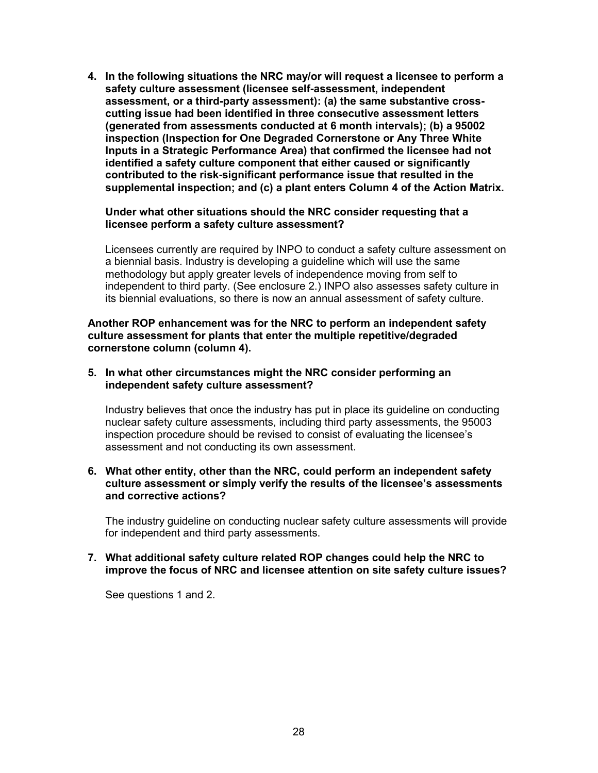**4. In the following situations the NRC may/or will request a licensee to perform a safety culture assessment (licensee self-assessment, independent assessment, or a third-party assessment): (a) the same substantive crosscutting issue had been identified in three consecutive assessment letters (generated from assessments conducted at 6 month intervals); (b) a 95002 inspection (Inspection for One Degraded Cornerstone or Any Three White Inputs in a Strategic Performance Area) that confirmed the licensee had not identified a safety culture component that either caused or significantly contributed to the risk-significant performance issue that resulted in the supplemental inspection; and (c) a plant enters Column 4 of the Action Matrix.** 

#### **Under what other situations should the NRC consider requesting that a licensee perform a safety culture assessment?**

Licensees currently are required by INPO to conduct a safety culture assessment on a biennial basis. Industry is developing a guideline which will use the same methodology but apply greater levels of independence moving from self to independent to third party. (See enclosure 2.) INPO also assesses safety culture in its biennial evaluations, so there is now an annual assessment of safety culture.

**Another ROP enhancement was for the NRC to perform an independent safety culture assessment for plants that enter the multiple repetitive/degraded cornerstone column (column 4).** 

**5. In what other circumstances might the NRC consider performing an independent safety culture assessment?** 

Industry believes that once the industry has put in place its guideline on conducting nuclear safety culture assessments, including third party assessments, the 95003 inspection procedure should be revised to consist of evaluating the licensee's assessment and not conducting its own assessment.

#### **6. What other entity, other than the NRC, could perform an independent safety culture assessment or simply verify the results of the licensee's assessments and corrective actions?**

The industry guideline on conducting nuclear safety culture assessments will provide for independent and third party assessments.

#### **7. What additional safety culture related ROP changes could help the NRC to improve the focus of NRC and licensee attention on site safety culture issues?**

See questions 1 and 2.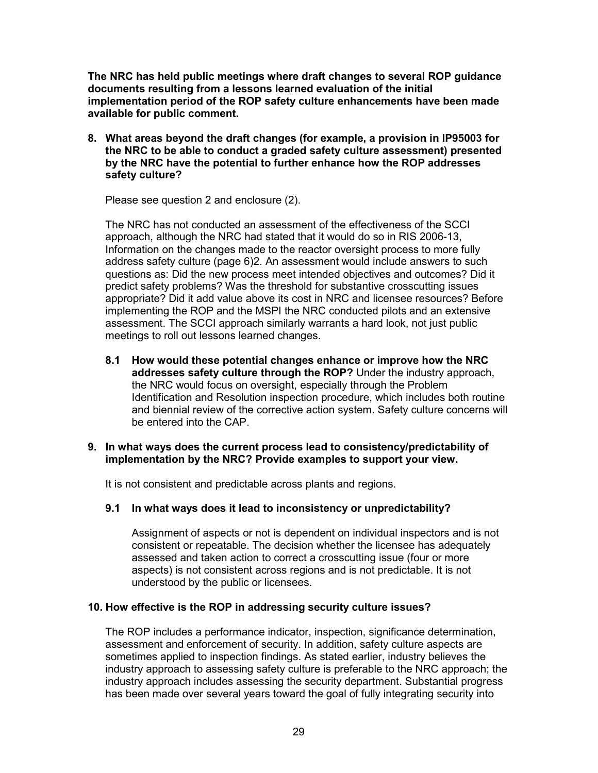**The NRC has held public meetings where draft changes to several ROP guidance documents resulting from a lessons learned evaluation of the initial implementation period of the ROP safety culture enhancements have been made available for public comment.** 

**8. What areas beyond the draft changes (for example, a provision in IP95003 for the NRC to be able to conduct a graded safety culture assessment) presented by the NRC have the potential to further enhance how the ROP addresses safety culture?** 

Please see question 2 and enclosure (2).

 The NRC has not conducted an assessment of the effectiveness of the SCCI approach, although the NRC had stated that it would do so in RIS 2006-13, Information on the changes made to the reactor oversight process to more fully address safety culture (page 6)2. An assessment would include answers to such questions as: Did the new process meet intended objectives and outcomes? Did it predict safety problems? Was the threshold for substantive crosscutting issues appropriate? Did it add value above its cost in NRC and licensee resources? Before implementing the ROP and the MSPI the NRC conducted pilots and an extensive assessment. The SCCI approach similarly warrants a hard look, not just public meetings to roll out lessons learned changes.

 **8.1 How would these potential changes enhance or improve how the NRC addresses safety culture through the ROP?** Under the industry approach, the NRC would focus on oversight, especially through the Problem Identification and Resolution inspection procedure, which includes both routine and biennial review of the corrective action system. Safety culture concerns will be entered into the CAP.

# **9. In what ways does the current process lead to consistency/predictability of implementation by the NRC? Provide examples to support your view.**

It is not consistent and predictable across plants and regions.

# **9.1 In what ways does it lead to inconsistency or unpredictability?**

Assignment of aspects or not is dependent on individual inspectors and is not consistent or repeatable. The decision whether the licensee has adequately assessed and taken action to correct a crosscutting issue (four or more aspects) is not consistent across regions and is not predictable. It is not understood by the public or licensees.

# **10. How effective is the ROP in addressing security culture issues?**

The ROP includes a performance indicator, inspection, significance determination, assessment and enforcement of security. In addition, safety culture aspects are sometimes applied to inspection findings. As stated earlier, industry believes the industry approach to assessing safety culture is preferable to the NRC approach; the industry approach includes assessing the security department. Substantial progress has been made over several years toward the goal of fully integrating security into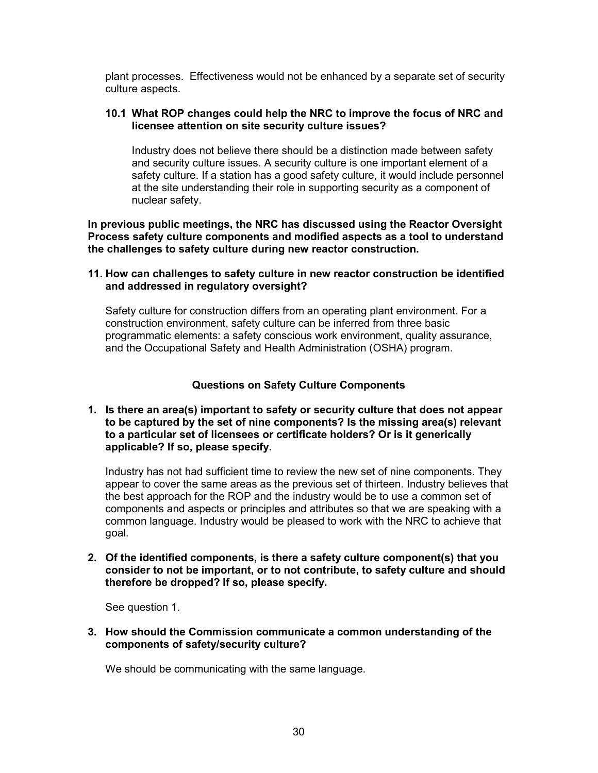plant processes. Effectiveness would not be enhanced by a separate set of security culture aspects.

#### **10.1 What ROP changes could help the NRC to improve the focus of NRC and licensee attention on site security culture issues?**

Industry does not believe there should be a distinction made between safety and security culture issues. A security culture is one important element of a safety culture. If a station has a good safety culture, it would include personnel at the site understanding their role in supporting security as a component of nuclear safety.

**In previous public meetings, the NRC has discussed using the Reactor Oversight Process safety culture components and modified aspects as a tool to understand the challenges to safety culture during new reactor construction.** 

#### **11. How can challenges to safety culture in new reactor construction be identified and addressed in regulatory oversight?**

 Safety culture for construction differs from an operating plant environment. For a construction environment, safety culture can be inferred from three basic programmatic elements: a safety conscious work environment, quality assurance, and the Occupational Safety and Health Administration (OSHA) program.

#### **Questions on Safety Culture Components**

#### **1. Is there an area(s) important to safety or security culture that does not appear to be captured by the set of nine components? Is the missing area(s) relevant to a particular set of licensees or certificate holders? Or is it generically applicable? If so, please specify.**

Industry has not had sufficient time to review the new set of nine components. They appear to cover the same areas as the previous set of thirteen. Industry believes that the best approach for the ROP and the industry would be to use a common set of components and aspects or principles and attributes so that we are speaking with a common language. Industry would be pleased to work with the NRC to achieve that goal.

**2. Of the identified components, is there a safety culture component(s) that you consider to not be important, or to not contribute, to safety culture and should therefore be dropped? If so, please specify.** 

See question 1.

**3. How should the Commission communicate a common understanding of the components of safety/security culture?** 

We should be communicating with the same language.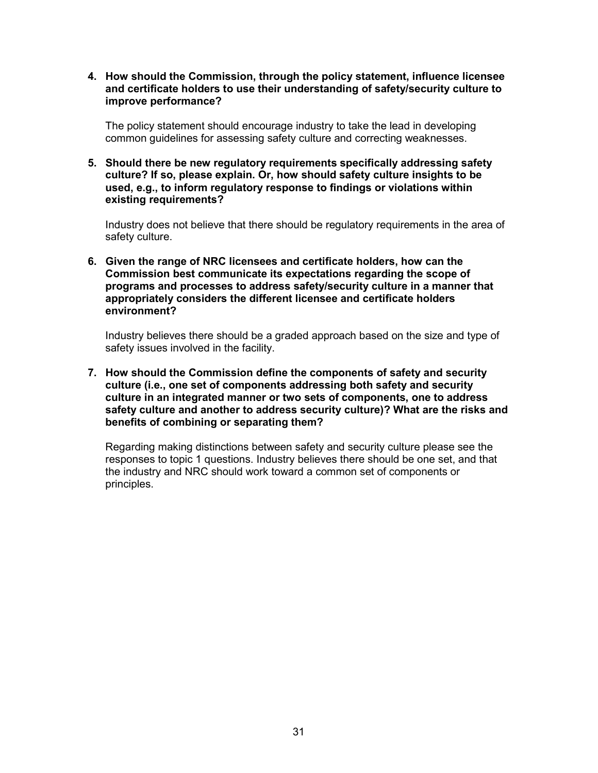**4. How should the Commission, through the policy statement, influence licensee and certificate holders to use their understanding of safety/security culture to improve performance?** 

The policy statement should encourage industry to take the lead in developing common guidelines for assessing safety culture and correcting weaknesses.

**5. Should there be new regulatory requirements specifically addressing safety culture? If so, please explain. Or, how should safety culture insights to be used, e.g., to inform regulatory response to findings or violations within existing requirements?** 

Industry does not believe that there should be regulatory requirements in the area of safety culture.

**6. Given the range of NRC licensees and certificate holders, how can the Commission best communicate its expectations regarding the scope of programs and processes to address safety/security culture in a manner that appropriately considers the different licensee and certificate holders environment?** 

 Industry believes there should be a graded approach based on the size and type of safety issues involved in the facility.

**7. How should the Commission define the components of safety and security culture (i.e., one set of components addressing both safety and security culture in an integrated manner or two sets of components, one to address safety culture and another to address security culture)? What are the risks and benefits of combining or separating them?** 

Regarding making distinctions between safety and security culture please see the responses to topic 1 questions. Industry believes there should be one set, and that the industry and NRC should work toward a common set of components or principles.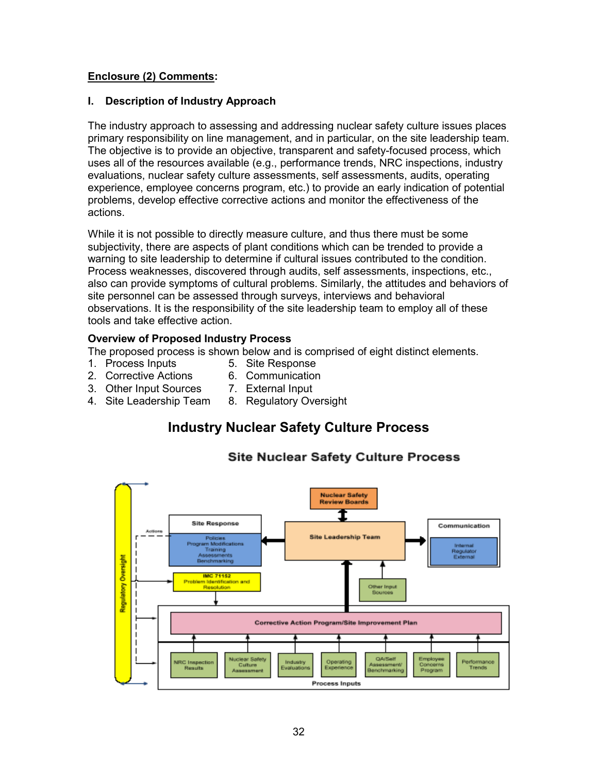# **Enclosure (2) Comments:**

#### **I. Description of Industry Approach**

The industry approach to assessing and addressing nuclear safety culture issues places primary responsibility on line management, and in particular, on the site leadership team. The objective is to provide an objective, transparent and safety-focused process, which uses all of the resources available (e.g., performance trends, NRC inspections, industry evaluations, nuclear safety culture assessments, self assessments, audits, operating experience, employee concerns program, etc.) to provide an early indication of potential problems, develop effective corrective actions and monitor the effectiveness of the actions.

While it is not possible to directly measure culture, and thus there must be some subjectivity, there are aspects of plant conditions which can be trended to provide a warning to site leadership to determine if cultural issues contributed to the condition. Process weaknesses, discovered through audits, self assessments, inspections, etc., also can provide symptoms of cultural problems. Similarly, the attitudes and behaviors of site personnel can be assessed through surveys, interviews and behavioral observations. It is the responsibility of the site leadership team to employ all of these tools and take effective action.

#### **Overview of Proposed Industry Process**

The proposed process is shown below and is comprised of eight distinct elements.

- 1. Process Inputs 5. Site Response
- 2. Corrective Actions 6. Communication
- 3. Other Input Sources 7. External Input
- 4. Site Leadership Team 8. Regulatory Oversight

# **Industry Nuclear Safety Culture Process**



# **Site Nuclear Safety Culture Process**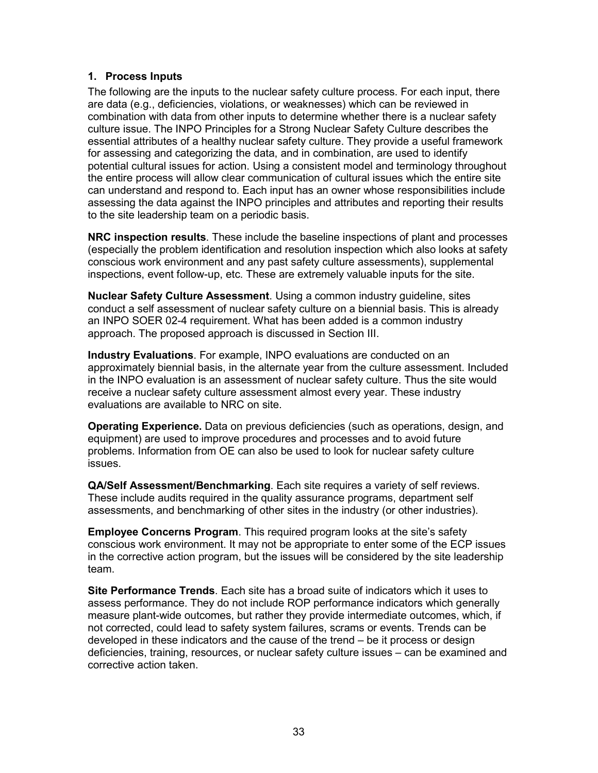# **1. Process Inputs**

The following are the inputs to the nuclear safety culture process. For each input, there are data (e.g., deficiencies, violations, or weaknesses) which can be reviewed in combination with data from other inputs to determine whether there is a nuclear safety culture issue. The INPO Principles for a Strong Nuclear Safety Culture describes the essential attributes of a healthy nuclear safety culture. They provide a useful framework for assessing and categorizing the data, and in combination, are used to identify potential cultural issues for action. Using a consistent model and terminology throughout the entire process will allow clear communication of cultural issues which the entire site can understand and respond to. Each input has an owner whose responsibilities include assessing the data against the INPO principles and attributes and reporting their results to the site leadership team on a periodic basis.

**NRC inspection results**. These include the baseline inspections of plant and processes (especially the problem identification and resolution inspection which also looks at safety conscious work environment and any past safety culture assessments), supplemental inspections, event follow-up, etc. These are extremely valuable inputs for the site.

**Nuclear Safety Culture Assessment**. Using a common industry guideline, sites conduct a self assessment of nuclear safety culture on a biennial basis. This is already an INPO SOER 02-4 requirement. What has been added is a common industry approach. The proposed approach is discussed in Section III.

**Industry Evaluations**. For example, INPO evaluations are conducted on an approximately biennial basis, in the alternate year from the culture assessment. Included in the INPO evaluation is an assessment of nuclear safety culture. Thus the site would receive a nuclear safety culture assessment almost every year. These industry evaluations are available to NRC on site.

**Operating Experience.** Data on previous deficiencies (such as operations, design, and equipment) are used to improve procedures and processes and to avoid future problems. Information from OE can also be used to look for nuclear safety culture issues.

**QA/Self Assessment/Benchmarking**. Each site requires a variety of self reviews. These include audits required in the quality assurance programs, department self assessments, and benchmarking of other sites in the industry (or other industries).

**Employee Concerns Program**. This required program looks at the site's safety conscious work environment. It may not be appropriate to enter some of the ECP issues in the corrective action program, but the issues will be considered by the site leadership team.

**Site Performance Trends**. Each site has a broad suite of indicators which it uses to assess performance. They do not include ROP performance indicators which generally measure plant-wide outcomes, but rather they provide intermediate outcomes, which, if not corrected, could lead to safety system failures, scrams or events. Trends can be developed in these indicators and the cause of the trend – be it process or design deficiencies, training, resources, or nuclear safety culture issues – can be examined and corrective action taken.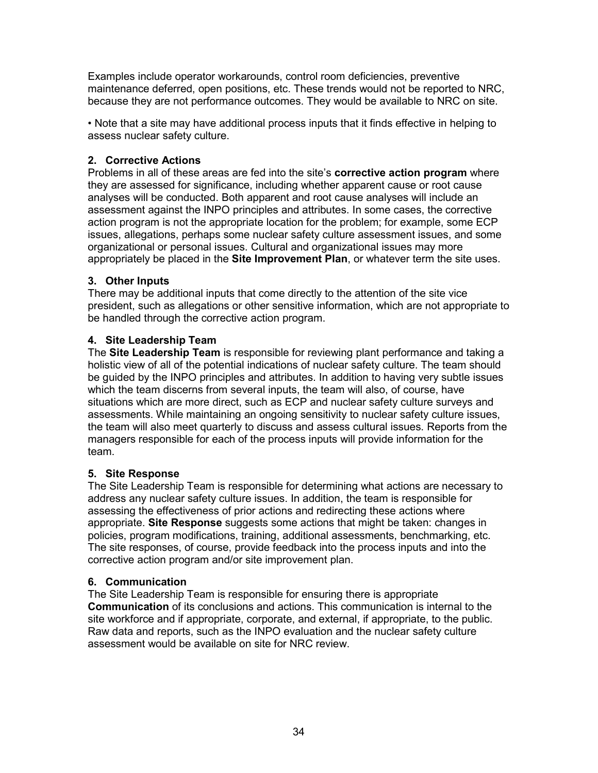Examples include operator workarounds, control room deficiencies, preventive maintenance deferred, open positions, etc. These trends would not be reported to NRC, because they are not performance outcomes. They would be available to NRC on site.

• Note that a site may have additional process inputs that it finds effective in helping to assess nuclear safety culture.

# **2. Corrective Actions**

Problems in all of these areas are fed into the site's **corrective action program** where they are assessed for significance, including whether apparent cause or root cause analyses will be conducted. Both apparent and root cause analyses will include an assessment against the INPO principles and attributes. In some cases, the corrective action program is not the appropriate location for the problem; for example, some ECP issues, allegations, perhaps some nuclear safety culture assessment issues, and some organizational or personal issues. Cultural and organizational issues may more appropriately be placed in the **Site Improvement Plan**, or whatever term the site uses.

# **3. Other Inputs**

There may be additional inputs that come directly to the attention of the site vice president, such as allegations or other sensitive information, which are not appropriate to be handled through the corrective action program.

# **4. Site Leadership Team**

The **Site Leadership Team** is responsible for reviewing plant performance and taking a holistic view of all of the potential indications of nuclear safety culture. The team should be guided by the INPO principles and attributes. In addition to having very subtle issues which the team discerns from several inputs, the team will also, of course, have situations which are more direct, such as ECP and nuclear safety culture surveys and assessments. While maintaining an ongoing sensitivity to nuclear safety culture issues, the team will also meet quarterly to discuss and assess cultural issues. Reports from the managers responsible for each of the process inputs will provide information for the team.

# **5. Site Response**

The Site Leadership Team is responsible for determining what actions are necessary to address any nuclear safety culture issues. In addition, the team is responsible for assessing the effectiveness of prior actions and redirecting these actions where appropriate. **Site Response** suggests some actions that might be taken: changes in policies, program modifications, training, additional assessments, benchmarking, etc. The site responses, of course, provide feedback into the process inputs and into the corrective action program and/or site improvement plan.

# **6. Communication**

The Site Leadership Team is responsible for ensuring there is appropriate **Communication** of its conclusions and actions. This communication is internal to the site workforce and if appropriate, corporate, and external, if appropriate, to the public. Raw data and reports, such as the INPO evaluation and the nuclear safety culture assessment would be available on site for NRC review.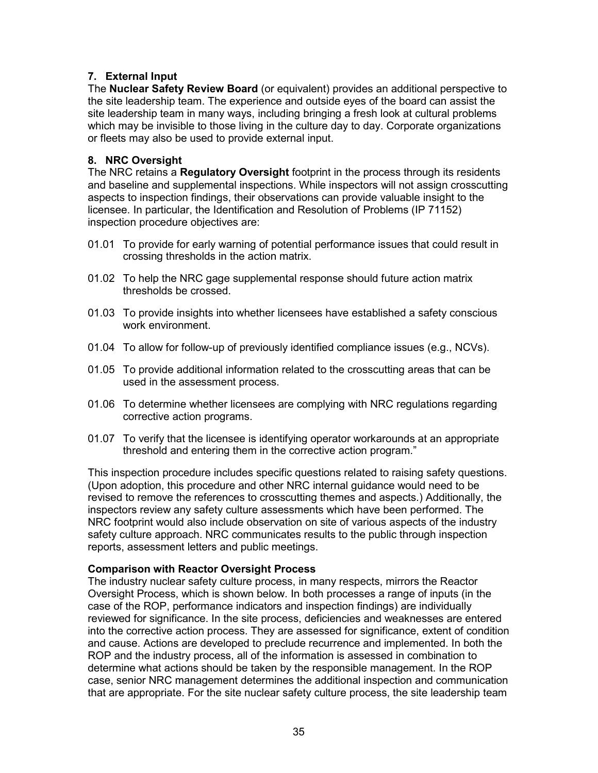# **7. External Input**

The **Nuclear Safety Review Board** (or equivalent) provides an additional perspective to the site leadership team. The experience and outside eyes of the board can assist the site leadership team in many ways, including bringing a fresh look at cultural problems which may be invisible to those living in the culture day to day. Corporate organizations or fleets may also be used to provide external input.

# **8. NRC Oversight**

The NRC retains a **Regulatory Oversight** footprint in the process through its residents and baseline and supplemental inspections. While inspectors will not assign crosscutting aspects to inspection findings, their observations can provide valuable insight to the licensee. In particular, the Identification and Resolution of Problems (IP 71152) inspection procedure objectives are:

- 01.01 To provide for early warning of potential performance issues that could result in crossing thresholds in the action matrix.
- 01.02 To help the NRC gage supplemental response should future action matrix thresholds be crossed.
- 01.03 To provide insights into whether licensees have established a safety conscious work environment.
- 01.04 To allow for follow-up of previously identified compliance issues (e.g., NCVs).
- 01.05 To provide additional information related to the crosscutting areas that can be used in the assessment process.
- 01.06 To determine whether licensees are complying with NRC regulations regarding corrective action programs.
- 01.07 To verify that the licensee is identifying operator workarounds at an appropriate threshold and entering them in the corrective action program."

This inspection procedure includes specific questions related to raising safety questions. (Upon adoption, this procedure and other NRC internal guidance would need to be revised to remove the references to crosscutting themes and aspects.) Additionally, the inspectors review any safety culture assessments which have been performed. The NRC footprint would also include observation on site of various aspects of the industry safety culture approach. NRC communicates results to the public through inspection reports, assessment letters and public meetings.

# **Comparison with Reactor Oversight Process**

The industry nuclear safety culture process, in many respects, mirrors the Reactor Oversight Process, which is shown below. In both processes a range of inputs (in the case of the ROP, performance indicators and inspection findings) are individually reviewed for significance. In the site process, deficiencies and weaknesses are entered into the corrective action process. They are assessed for significance, extent of condition and cause. Actions are developed to preclude recurrence and implemented. In both the ROP and the industry process, all of the information is assessed in combination to determine what actions should be taken by the responsible management. In the ROP case, senior NRC management determines the additional inspection and communication that are appropriate. For the site nuclear safety culture process, the site leadership team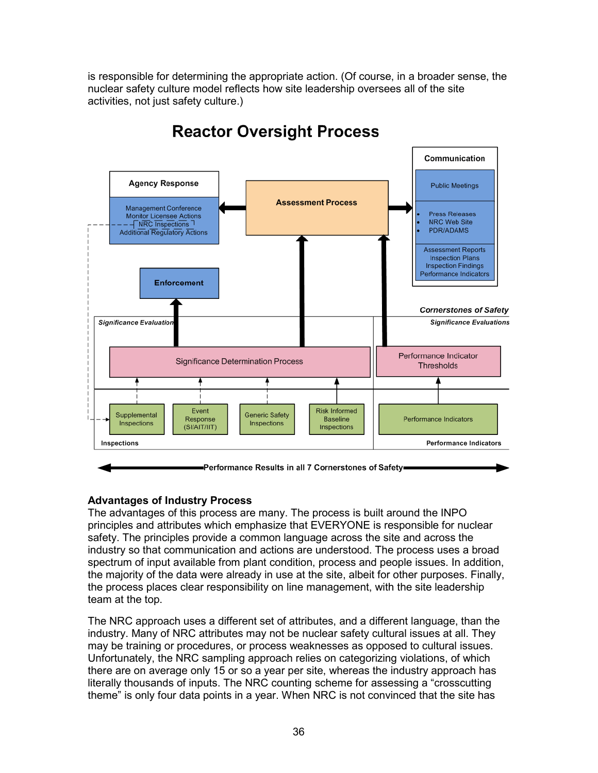is responsible for determining the appropriate action. (Of course, in a broader sense, the nuclear safety culture model reflects how site leadership oversees all of the site activities, not just safety culture.)



# **Reactor Oversight Process**

# **Advantages of Industry Process**

The advantages of this process are many. The process is built around the INPO principles and attributes which emphasize that EVERYONE is responsible for nuclear safety. The principles provide a common language across the site and across the industry so that communication and actions are understood. The process uses a broad spectrum of input available from plant condition, process and people issues. In addition, the majority of the data were already in use at the site, albeit for other purposes. Finally, the process places clear responsibility on line management, with the site leadership team at the top.

The NRC approach uses a different set of attributes, and a different language, than the industry. Many of NRC attributes may not be nuclear safety cultural issues at all. They may be training or procedures, or process weaknesses as opposed to cultural issues. Unfortunately, the NRC sampling approach relies on categorizing violations, of which there are on average only 15 or so a year per site, whereas the industry approach has literally thousands of inputs. The NRC counting scheme for assessing a "crosscutting theme" is only four data points in a year. When NRC is not convinced that the site has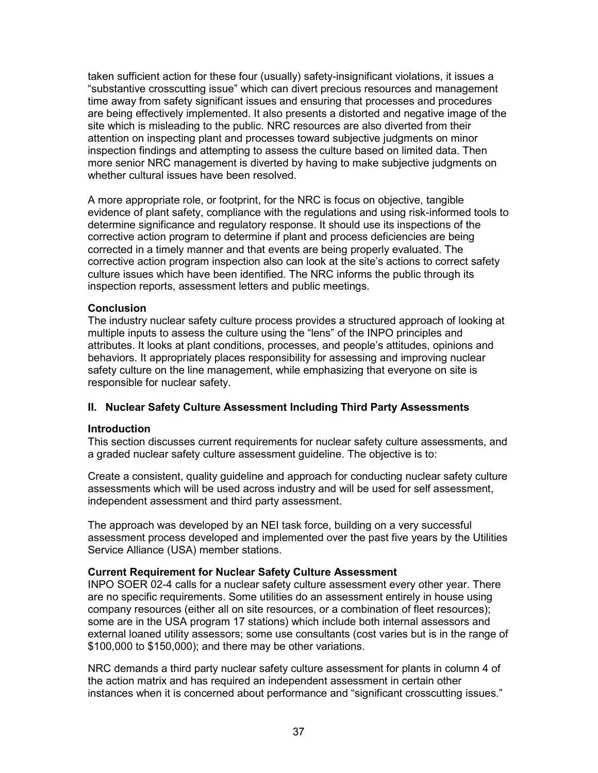taken sufficient action for these four (usually) safety-insignificant violations, it issues a "substantive crosscutting issue" which can divert precious resources and management time away from safety significant issues and ensuring that processes and procedures are being effectively implemented. It also presents a distorted and negative image of the site which is misleading to the public. NRC resources are also diverted from their attention on inspecting plant and processes toward subjective judgments on minor inspection findings and attempting to assess the culture based on limited data. Then more senior NRC management is diverted by having to make subjective judgments on whether cultural issues have been resolved.

A more appropriate role, or footprint, for the NRC is focus on objective, tangible evidence of plant safety, compliance with the regulations and using risk-informed tools to determine significance and regulatory response. It should use its inspections of the corrective action program to determine if plant and process deficiencies are being corrected in a timely manner and that events are being properly evaluated. The corrective action program inspection also can look at the site's actions to correct safety culture issues which have been identified. The NRC informs the public through its inspection reports, assessment letters and public meetings.

# **Conclusion**

The industry nuclear safety culture process provides a structured approach of looking at multiple inputs to assess the culture using the "lens" of the INPO principles and attributes. It looks at plant conditions, processes, and people's attitudes, opinions and behaviors. It appropriately places responsibility for assessing and improving nuclear safety culture on the line management, while emphasizing that everyone on site is responsible for nuclear safety.

# **II. Nuclear Safety Culture Assessment Including Third Party Assessments**

#### **Introduction**

This section discusses current requirements for nuclear safety culture assessments, and a graded nuclear safety culture assessment guideline. The objective is to:

Create a consistent, quality guideline and approach for conducting nuclear safety culture assessments which will be used across industry and will be used for self assessment, independent assessment and third party assessment.

The approach was developed by an NEI task force, building on a very successful assessment process developed and implemented over the past five years by the Utilities Service Alliance (USA) member stations.

#### **Current Requirement for Nuclear Safety Culture Assessment**

INPO SOER 02-4 calls for a nuclear safety culture assessment every other year. There are no specific requirements. Some utilities do an assessment entirely in house using company resources (either all on site resources, or a combination of fleet resources); some are in the USA program 17 stations) which include both internal assessors and external loaned utility assessors; some use consultants (cost varies but is in the range of \$100,000 to \$150,000); and there may be other variations.

NRC demands a third party nuclear safety culture assessment for plants in column 4 of the action matrix and has required an independent assessment in certain other instances when it is concerned about performance and "significant crosscutting issues."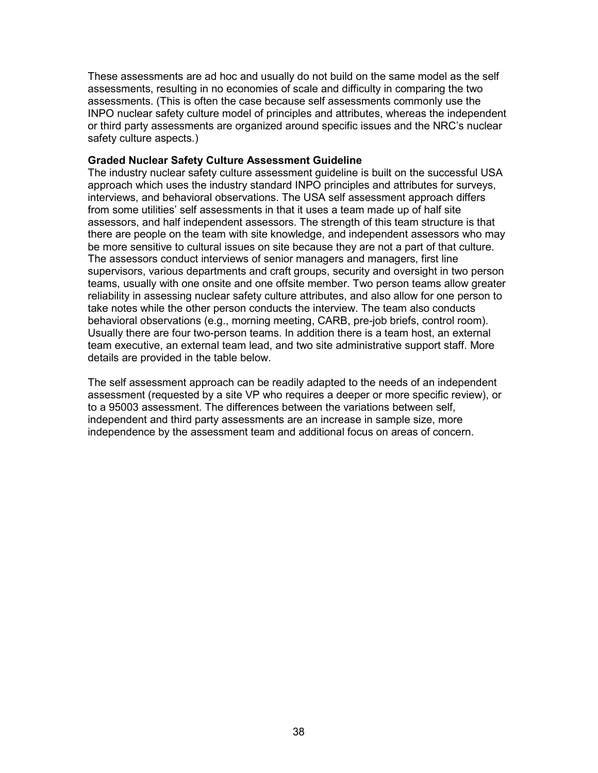These assessments are ad hoc and usually do not build on the same model as the self assessments, resulting in no economies of scale and difficulty in comparing the two assessments. (This is often the case because self assessments commonly use the INPO nuclear safety culture model of principles and attributes, whereas the independent or third party assessments are organized around specific issues and the NRC's nuclear safety culture aspects.)

#### **Graded Nuclear Safety Culture Assessment Guideline**

The industry nuclear safety culture assessment guideline is built on the successful USA approach which uses the industry standard INPO principles and attributes for surveys, interviews, and behavioral observations. The USA self assessment approach differs from some utilities' self assessments in that it uses a team made up of half site assessors, and half independent assessors. The strength of this team structure is that there are people on the team with site knowledge, and independent assessors who may be more sensitive to cultural issues on site because they are not a part of that culture. The assessors conduct interviews of senior managers and managers, first line supervisors, various departments and craft groups, security and oversight in two person teams, usually with one onsite and one offsite member. Two person teams allow greater reliability in assessing nuclear safety culture attributes, and also allow for one person to take notes while the other person conducts the interview. The team also conducts behavioral observations (e.g., morning meeting, CARB, pre-job briefs, control room). Usually there are four two-person teams. In addition there is a team host, an external team executive, an external team lead, and two site administrative support staff. More details are provided in the table below.

The self assessment approach can be readily adapted to the needs of an independent assessment (requested by a site VP who requires a deeper or more specific review), or to a 95003 assessment. The differences between the variations between self, independent and third party assessments are an increase in sample size, more independence by the assessment team and additional focus on areas of concern.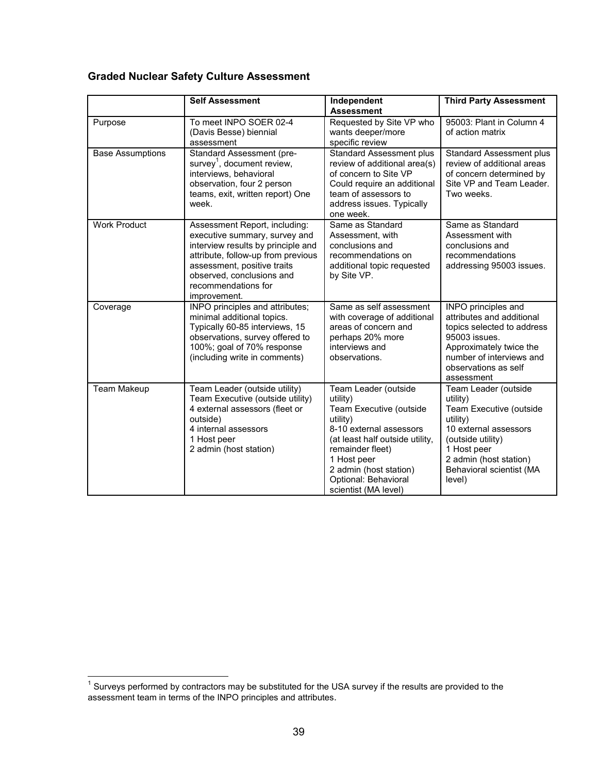# **Graded Nuclear Safety Culture Assessment**

|                         | <b>Self Assessment</b>                                                                                                                                                                                                                        | Independent<br><b>Assessment</b>                                                                                                                                                                                                                   | <b>Third Party Assessment</b>                                                                                                                                                                        |
|-------------------------|-----------------------------------------------------------------------------------------------------------------------------------------------------------------------------------------------------------------------------------------------|----------------------------------------------------------------------------------------------------------------------------------------------------------------------------------------------------------------------------------------------------|------------------------------------------------------------------------------------------------------------------------------------------------------------------------------------------------------|
| Purpose                 | To meet INPO SOER 02-4<br>(Davis Besse) biennial<br>assessment                                                                                                                                                                                | Requested by Site VP who<br>wants deeper/more<br>specific review                                                                                                                                                                                   | 95003: Plant in Column 4<br>of action matrix                                                                                                                                                         |
| <b>Base Assumptions</b> | Standard Assessment (pre-<br>survey <sup>1</sup> , document review,<br>interviews, behavioral<br>observation, four 2 person<br>teams, exit, written report) One<br>week.                                                                      | <b>Standard Assessment plus</b><br>review of additional area(s)<br>of concern to Site VP<br>Could require an additional<br>team of assessors to<br>address issues. Typically<br>one week.                                                          | Standard Assessment plus<br>review of additional areas<br>of concern determined by<br>Site VP and Team Leader.<br>Two weeks.                                                                         |
| <b>Work Product</b>     | Assessment Report, including:<br>executive summary, survey and<br>interview results by principle and<br>attribute, follow-up from previous<br>assessment, positive traits<br>observed, conclusions and<br>recommendations for<br>improvement. | Same as Standard<br>Assessment, with<br>conclusions and<br>recommendations on<br>additional topic requested<br>by Site VP.                                                                                                                         | Same as Standard<br>Assessment with<br>conclusions and<br>recommendations<br>addressing 95003 issues.                                                                                                |
| Coverage                | INPO principles and attributes;<br>minimal additional topics.<br>Typically 60-85 interviews, 15<br>observations, survey offered to<br>100%; goal of 70% response<br>(including write in comments)                                             | Same as self assessment<br>with coverage of additional<br>areas of concern and<br>perhaps 20% more<br>interviews and<br>observations.                                                                                                              | INPO principles and<br>attributes and additional<br>topics selected to address<br>95003 issues.<br>Approximately twice the<br>number of interviews and<br>observations as self<br>assessment         |
| <b>Team Makeup</b>      | Team Leader (outside utility)<br>Team Executive (outside utility)<br>4 external assessors (fleet or<br>outside)<br>4 internal assessors<br>1 Host peer<br>2 admin (host station)                                                              | Team Leader (outside<br>utility)<br>Team Executive (outside<br>utility)<br>8-10 external assessors<br>(at least half outside utility,<br>remainder fleet)<br>1 Host peer<br>2 admin (host station)<br>Optional: Behavioral<br>scientist (MA level) | Team Leader (outside<br>utility)<br>Team Executive (outside<br>utility)<br>10 external assessors<br>(outside utility)<br>1 Host peer<br>2 admin (host station)<br>Behavioral scientist (MA<br>level) |

<sup>————————————————————&</sup>lt;br><sup>1</sup> Surveys performed by contractors may be substituted for the USA survey if the results are provided to the assessment team in terms of the INPO principles and attributes.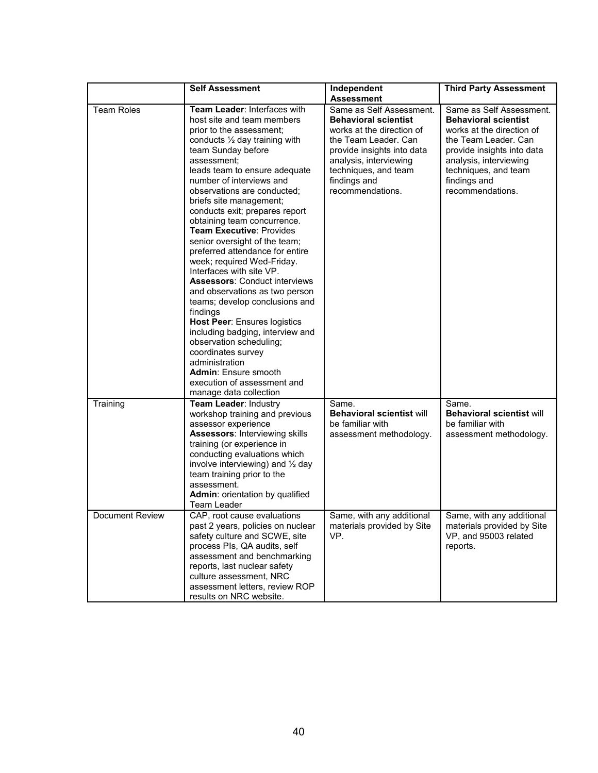|                   | <b>Self Assessment</b>                                                                                                                                                                                                                                                                                                                                                                                                                                                                                                                                                                                                                                                                                                                                                                                                                                                                         | Independent<br><b>Assessment</b>                                                                                                                                                                                                 | <b>Third Party Assessment</b>                                                                                                                                                                                                    |
|-------------------|------------------------------------------------------------------------------------------------------------------------------------------------------------------------------------------------------------------------------------------------------------------------------------------------------------------------------------------------------------------------------------------------------------------------------------------------------------------------------------------------------------------------------------------------------------------------------------------------------------------------------------------------------------------------------------------------------------------------------------------------------------------------------------------------------------------------------------------------------------------------------------------------|----------------------------------------------------------------------------------------------------------------------------------------------------------------------------------------------------------------------------------|----------------------------------------------------------------------------------------------------------------------------------------------------------------------------------------------------------------------------------|
| <b>Team Roles</b> | Team Leader: Interfaces with<br>host site and team members<br>prior to the assessment:<br>conducts $\frac{1}{2}$ day training with<br>team Sunday before<br>assessment:<br>leads team to ensure adequate<br>number of interviews and<br>observations are conducted;<br>briefs site management;<br>conducts exit; prepares report<br>obtaining team concurrence.<br><b>Team Executive: Provides</b><br>senior oversight of the team;<br>preferred attendance for entire<br>week; required Wed-Friday.<br>Interfaces with site VP.<br><b>Assessors: Conduct interviews</b><br>and observations as two person<br>teams; develop conclusions and<br>findings<br><b>Host Peer: Ensures logistics</b><br>including badging, interview and<br>observation scheduling;<br>coordinates survey<br>administration<br><b>Admin: Ensure smooth</b><br>execution of assessment and<br>manage data collection | Same as Self Assessment.<br><b>Behavioral scientist</b><br>works at the direction of<br>the Team Leader. Can<br>provide insights into data<br>analysis, interviewing<br>techniques, and team<br>findings and<br>recommendations. | Same as Self Assessment.<br><b>Behavioral scientist</b><br>works at the direction of<br>the Team Leader. Can<br>provide insights into data<br>analysis, interviewing<br>techniques, and team<br>findings and<br>recommendations. |
| Training          | Team Leader: Industry<br>workshop training and previous<br>assessor experience<br><b>Assessors: Interviewing skills</b><br>training (or experience in<br>conducting evaluations which<br>involve interviewing) and $\frac{1}{2}$ day<br>team training prior to the<br>assessment.<br>Admin: orientation by qualified<br>Team Leader                                                                                                                                                                                                                                                                                                                                                                                                                                                                                                                                                            | Same.<br><b>Behavioral scientist will</b><br>be familiar with<br>assessment methodology.                                                                                                                                         | Same.<br><b>Behavioral scientist will</b><br>be familiar with<br>assessment methodology.                                                                                                                                         |
| Document Review   | CAP, root cause evaluations<br>past 2 years, policies on nuclear<br>safety culture and SCWE, site<br>process PIs, QA audits, self<br>assessment and benchmarking<br>reports, last nuclear safety<br>culture assessment, NRC<br>assessment letters, review ROP<br>results on NRC website.                                                                                                                                                                                                                                                                                                                                                                                                                                                                                                                                                                                                       | Same, with any additional<br>materials provided by Site<br>VP.                                                                                                                                                                   | Same, with any additional<br>materials provided by Site<br>VP, and 95003 related<br>reports.                                                                                                                                     |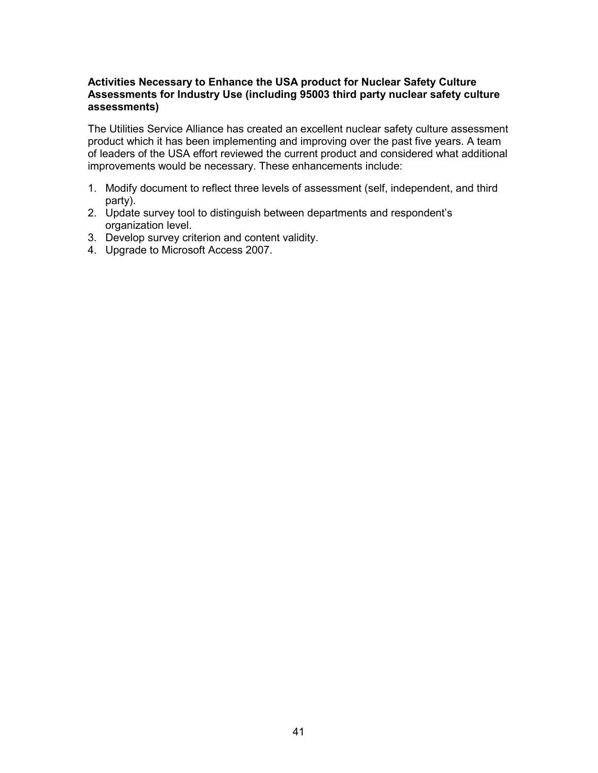# **Activities Necessary to Enhance the USA product for Nuclear Safety Culture Assessments for Industry Use (including 95003 third party nuclear safety culture assessments)**

The Utilities Service Alliance has created an excellent nuclear safety culture assessment product which it has been implementing and improving over the past five years. A team of leaders of the USA effort reviewed the current product and considered what additional improvements would be necessary. These enhancements include:

- 1. Modify document to reflect three levels of assessment (self, independent, and third party).
- 2. Update survey tool to distinguish between departments and respondent's organization level.
- 3. Develop survey criterion and content validity.
- 4. Upgrade to Microsoft Access 2007.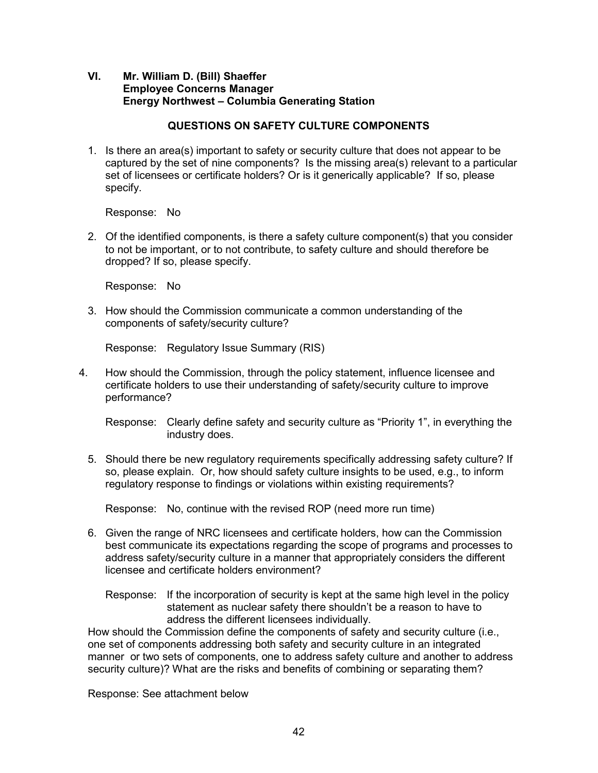# **VI. Mr. William D. (Bill) Shaeffer Employee Concerns Manager Energy Northwest – Columbia Generating Station**

# **QUESTIONS ON SAFETY CULTURE COMPONENTS**

1. Is there an area(s) important to safety or security culture that does not appear to be captured by the set of nine components? Is the missing area(s) relevant to a particular set of licensees or certificate holders? Or is it generically applicable? If so, please specify.

Response: No

2. Of the identified components, is there a safety culture component(s) that you consider to not be important, or to not contribute, to safety culture and should therefore be dropped? If so, please specify.

Response: No

3. How should the Commission communicate a common understanding of the components of safety/security culture?

Response: Regulatory Issue Summary (RIS)

4. How should the Commission, through the policy statement, influence licensee and certificate holders to use their understanding of safety/security culture to improve performance?

 Response: Clearly define safety and security culture as "Priority 1", in everything the industry does.

5. Should there be new regulatory requirements specifically addressing safety culture? If so, please explain. Or, how should safety culture insights to be used, e.g., to inform regulatory response to findings or violations within existing requirements?

Response: No, continue with the revised ROP (need more run time)

- 6. Given the range of NRC licensees and certificate holders, how can the Commission best communicate its expectations regarding the scope of programs and processes to address safety/security culture in a manner that appropriately considers the different licensee and certificate holders environment?
	- Response: If the incorporation of security is kept at the same high level in the policy statement as nuclear safety there shouldn't be a reason to have to address the different licensees individually.

How should the Commission define the components of safety and security culture (i.e., one set of components addressing both safety and security culture in an integrated manner or two sets of components, one to address safety culture and another to address security culture)? What are the risks and benefits of combining or separating them?

Response: See attachment below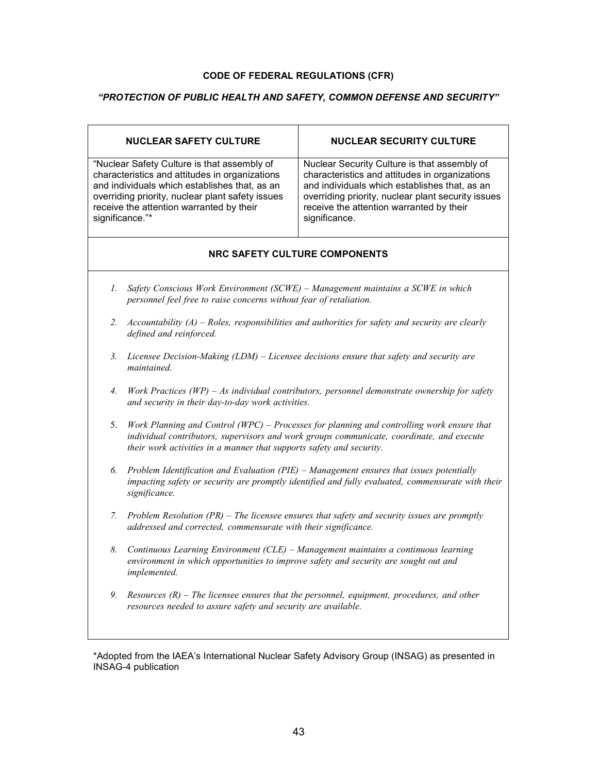#### **CODE OF FEDERAL REGULATIONS (CFR)**

# *"PROTECTION OF PUBLIC HEALTH AND SAFETY, COMMON DEFENSE AND SECURITY"*

| <b>NUCLEAR SAFETY CULTURE</b>                                                                                                                                                                                                                                     | <b>NUCLEAR SECURITY CULTURE</b>                                                                                                                                                                                                                                    |  |  |  |  |
|-------------------------------------------------------------------------------------------------------------------------------------------------------------------------------------------------------------------------------------------------------------------|--------------------------------------------------------------------------------------------------------------------------------------------------------------------------------------------------------------------------------------------------------------------|--|--|--|--|
| "Nuclear Safety Culture is that assembly of<br>characteristics and attitudes in organizations<br>and individuals which establishes that, as an<br>overriding priority, nuclear plant safety issues<br>receive the attention warranted by their<br>significance."* | Nuclear Security Culture is that assembly of<br>characteristics and attitudes in organizations<br>and individuals which establishes that, as an<br>overriding priority, nuclear plant security issues<br>receive the attention warranted by their<br>significance. |  |  |  |  |
| <b>NRC SAFETY CULTURE COMPONENTS</b>                                                                                                                                                                                                                              |                                                                                                                                                                                                                                                                    |  |  |  |  |
| 1.<br>Safety Conscious Work Environment (SCWE) - Management maintains a SCWE in which<br>personnel feel free to raise concerns without fear of retaliation.                                                                                                       |                                                                                                                                                                                                                                                                    |  |  |  |  |
| 2.<br>defined and reinforced.                                                                                                                                                                                                                                     | Accountability $(A)$ – Roles, responsibilities and authorities for safety and security are clearly                                                                                                                                                                 |  |  |  |  |
| Licensee Decision-Making $(LDM)$ – Licensee decisions ensure that safety and security are<br>3.<br><i>maintained</i>                                                                                                                                              |                                                                                                                                                                                                                                                                    |  |  |  |  |
| 4.                                                                                                                                                                                                                                                                | Work Practices (WP) – As individual contributors, personnel demonstrate ownership for safety<br>and security in their day-to-day work activities.                                                                                                                  |  |  |  |  |
| 5.                                                                                                                                                                                                                                                                | Work Planning and Control (WPC) – Processes for planning and controlling work ensure that<br>individual contributors, supervisors and work groups communicate, coordinate, and execute<br>their work activities in a manner that supports safety and security.     |  |  |  |  |
| 6.<br>significance.                                                                                                                                                                                                                                               | Problem Identification and Evaluation (PIE) - Management ensures that issues potentially<br>impacting safety or security are promptly identified and fully evaluated, commensurate with their                                                                      |  |  |  |  |
| $7_{\cdot}$                                                                                                                                                                                                                                                       | Problem Resolution $(PR)$ – The licensee ensures that safety and security issues are promptly<br>addressed and corrected, commensurate with their significance.                                                                                                    |  |  |  |  |
| 8.<br>implemented.                                                                                                                                                                                                                                                | Continuous Learning Environment (CLE) - Management maintains a continuous learning<br>environment in which opportunities to improve safety and security are sought out and                                                                                         |  |  |  |  |
| 9.                                                                                                                                                                                                                                                                | Resources $(R)$ – The licensee ensures that the personnel, equipment, procedures, and other<br>resources needed to assure safety and security are available.                                                                                                       |  |  |  |  |

\*Adopted from the IAEA's International Nuclear Safety Advisory Group (INSAG) as presented in INSAG-4 publication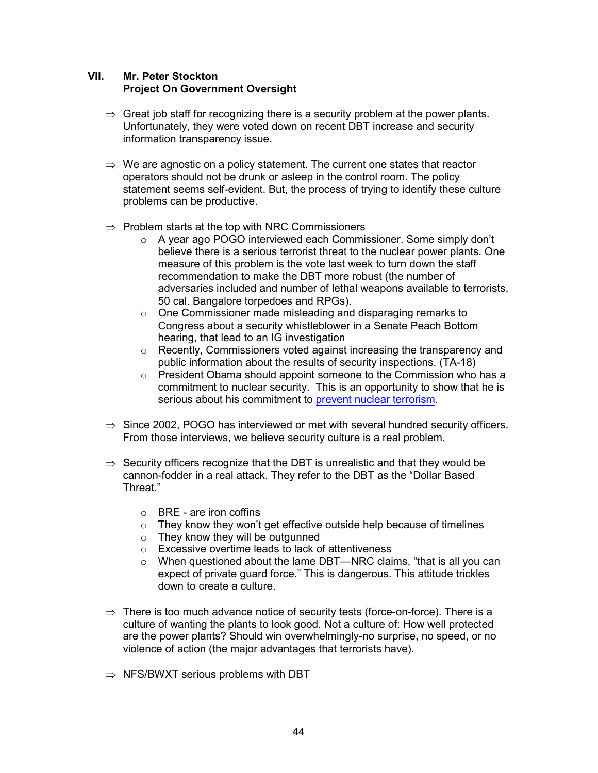# **VII. Mr. Peter Stockton Project On Government Oversight**

- $\Rightarrow$  Great job staff for recognizing there is a security problem at the power plants. Unfortunately, they were voted down on recent DBT increase and security information transparency issue.
- $\Rightarrow$  We are agnostic on a policy statement. The current one states that reactor operators should not be drunk or asleep in the control room. The policy statement seems self-evident. But, the process of trying to identify these culture problems can be productive.
- $\Rightarrow$  Problem starts at the top with NRC Commissioners
	- o A year ago POGO interviewed each Commissioner. Some simply don't believe there is a serious terrorist threat to the nuclear power plants. One measure of this problem is the vote last week to turn down the staff recommendation to make the DBT more robust (the number of adversaries included and number of lethal weapons available to terrorists, 50 cal. Bangalore torpedoes and RPGs).
	- o One Commissioner made misleading and disparaging remarks to Congress about a security whistleblower in a Senate Peach Bottom hearing, that lead to an IG investigation
	- o Recently, Commissioners voted against increasing the transparency and public information about the results of security inspections. (TA-18)
	- $\circ$  President Obama should appoint someone to the Commission who has a commitment to nuclear security. This is an opportunity to show that he is serious about his commitment to prevent nuclear terrorism.
- $\Rightarrow$  Since 2002, POGO has interviewed or met with several hundred security officers. From those interviews, we believe security culture is a real problem.
- $\Rightarrow$  Security officers recognize that the DBT is unrealistic and that they would be cannon-fodder in a real attack. They refer to the DBT as the "Dollar Based Threat."
	- o BRE are iron coffins
	- o They know they won't get effective outside help because of timelines
	- o They know they will be outgunned
	- o Excessive overtime leads to lack of attentiveness
	- o When questioned about the lame DBT—NRC claims, "that is all you can expect of private guard force." This is dangerous. This attitude trickles down to create a culture.
- $\Rightarrow$  There is too much advance notice of security tests (force-on-force). There is a culture of wanting the plants to look good. Not a culture of: How well protected are the power plants? Should win overwhelmingly-no surprise, no speed, or no violence of action (the major advantages that terrorists have).
- $\Rightarrow$  NFS/BWXT serious problems with DBT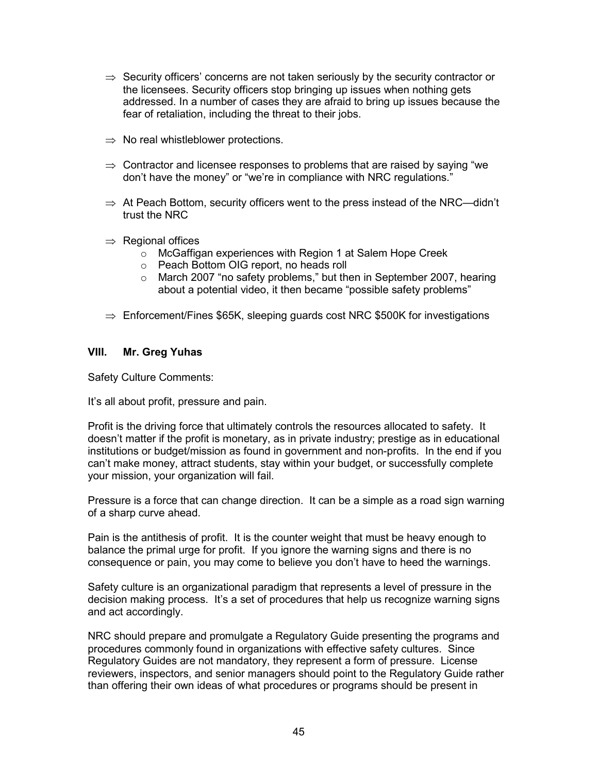- $\Rightarrow$  Security officers' concerns are not taken seriously by the security contractor or the licensees. Security officers stop bringing up issues when nothing gets addressed. In a number of cases they are afraid to bring up issues because the fear of retaliation, including the threat to their jobs.
- $\Rightarrow$  No real whistleblower protections.
- $\Rightarrow$  Contractor and licensee responses to problems that are raised by saying "we don't have the money" or "we're in compliance with NRC regulations."
- $\Rightarrow$  At Peach Bottom, security officers went to the press instead of the NRC—didn't trust the NRC
- $\Rightarrow$  Regional offices
	- o McGaffigan experiences with Region 1 at Salem Hope Creek
	- o Peach Bottom OIG report, no heads roll
	- o March 2007 "no safety problems," but then in September 2007, hearing about a potential video, it then became "possible safety problems"
- $\Rightarrow$  Enforcement/Fines \$65K, sleeping guards cost NRC \$500K for investigations

#### **VIII. Mr. Greg Yuhas**

Safety Culture Comments:

It's all about profit, pressure and pain.

Profit is the driving force that ultimately controls the resources allocated to safety. It doesn't matter if the profit is monetary, as in private industry; prestige as in educational institutions or budget/mission as found in government and non-profits. In the end if you can't make money, attract students, stay within your budget, or successfully complete your mission, your organization will fail.

Pressure is a force that can change direction. It can be a simple as a road sign warning of a sharp curve ahead.

Pain is the antithesis of profit. It is the counter weight that must be heavy enough to balance the primal urge for profit. If you ignore the warning signs and there is no consequence or pain, you may come to believe you don't have to heed the warnings.

Safety culture is an organizational paradigm that represents a level of pressure in the decision making process. It's a set of procedures that help us recognize warning signs and act accordingly.

NRC should prepare and promulgate a Regulatory Guide presenting the programs and procedures commonly found in organizations with effective safety cultures. Since Regulatory Guides are not mandatory, they represent a form of pressure. License reviewers, inspectors, and senior managers should point to the Regulatory Guide rather than offering their own ideas of what procedures or programs should be present in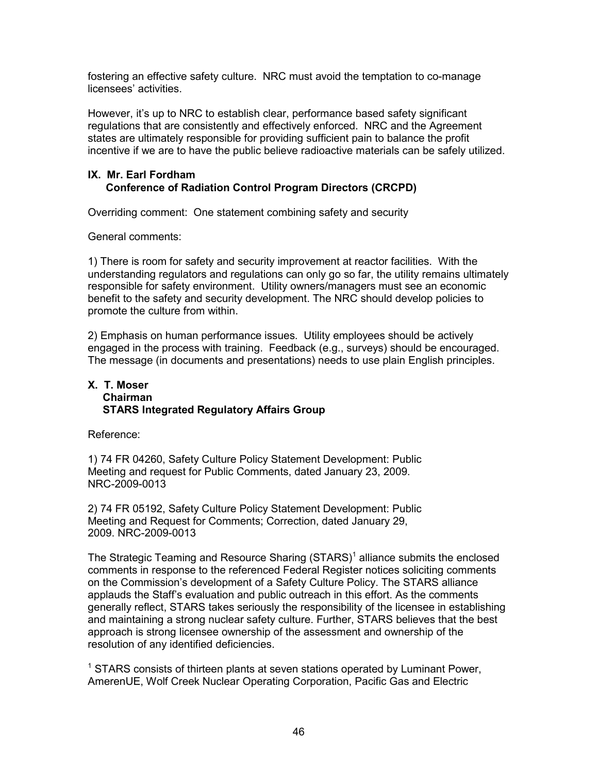fostering an effective safety culture. NRC must avoid the temptation to co-manage licensees' activities.

However, it's up to NRC to establish clear, performance based safety significant regulations that are consistently and effectively enforced. NRC and the Agreement states are ultimately responsible for providing sufficient pain to balance the profit incentive if we are to have the public believe radioactive materials can be safely utilized.

# **IX. Mr. Earl Fordham Conference of Radiation Control Program Directors (CRCPD)**

Overriding comment: One statement combining safety and security

General comments:

1) There is room for safety and security improvement at reactor facilities. With the understanding regulators and regulations can only go so far, the utility remains ultimately responsible for safety environment. Utility owners/managers must see an economic benefit to the safety and security development. The NRC should develop policies to promote the culture from within.

2) Emphasis on human performance issues. Utility employees should be actively engaged in the process with training. Feedback (e.g., surveys) should be encouraged. The message (in documents and presentations) needs to use plain English principles.

#### **X. T. Moser Chairman STARS Integrated Regulatory Affairs Group**

Reference:

1) 74 FR 04260, Safety Culture Policy Statement Development: Public Meeting and request for Public Comments, dated January 23, 2009. NRC-2009-0013

2) 74 FR 05192, Safety Culture Policy Statement Development: Public Meeting and Request for Comments; Correction, dated January 29, 2009. NRC-2009-0013

The Strategic Teaming and Resource Sharing  $(STARS)^1$  alliance submits the enclosed comments in response to the referenced Federal Register notices soliciting comments on the Commission's development of a Safety Culture Policy. The STARS alliance applauds the Staff's evaluation and public outreach in this effort. As the comments generally reflect, STARS takes seriously the responsibility of the licensee in establishing and maintaining a strong nuclear safety culture. Further, STARS believes that the best approach is strong licensee ownership of the assessment and ownership of the resolution of any identified deficiencies.

<sup>1</sup> STARS consists of thirteen plants at seven stations operated by Luminant Power, AmerenUE, Wolf Creek Nuclear Operating Corporation, Pacific Gas and Electric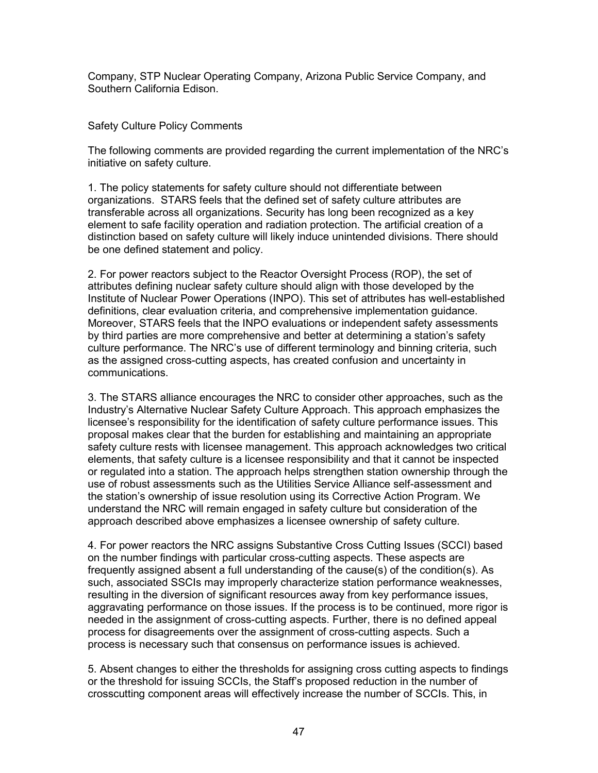Company, STP Nuclear Operating Company, Arizona Public Service Company, and Southern California Edison.

# Safety Culture Policy Comments

The following comments are provided regarding the current implementation of the NRC's initiative on safety culture.

1. The policy statements for safety culture should not differentiate between organizations. STARS feels that the defined set of safety culture attributes are transferable across all organizations. Security has long been recognized as a key element to safe facility operation and radiation protection. The artificial creation of a distinction based on safety culture will likely induce unintended divisions. There should be one defined statement and policy.

2. For power reactors subject to the Reactor Oversight Process (ROP), the set of attributes defining nuclear safety culture should align with those developed by the Institute of Nuclear Power Operations (INPO). This set of attributes has well-established definitions, clear evaluation criteria, and comprehensive implementation guidance. Moreover, STARS feels that the INPO evaluations or independent safety assessments by third parties are more comprehensive and better at determining a station's safety culture performance. The NRC's use of different terminology and binning criteria, such as the assigned cross-cutting aspects, has created confusion and uncertainty in communications.

3. The STARS alliance encourages the NRC to consider other approaches, such as the Industry's Alternative Nuclear Safety Culture Approach. This approach emphasizes the licensee's responsibility for the identification of safety culture performance issues. This proposal makes clear that the burden for establishing and maintaining an appropriate safety culture rests with licensee management. This approach acknowledges two critical elements, that safety culture is a licensee responsibility and that it cannot be inspected or regulated into a station. The approach helps strengthen station ownership through the use of robust assessments such as the Utilities Service Alliance self-assessment and the station's ownership of issue resolution using its Corrective Action Program. We understand the NRC will remain engaged in safety culture but consideration of the approach described above emphasizes a licensee ownership of safety culture.

4. For power reactors the NRC assigns Substantive Cross Cutting Issues (SCCI) based on the number findings with particular cross-cutting aspects. These aspects are frequently assigned absent a full understanding of the cause(s) of the condition(s). As such, associated SSCIs may improperly characterize station performance weaknesses, resulting in the diversion of significant resources away from key performance issues, aggravating performance on those issues. If the process is to be continued, more rigor is needed in the assignment of cross-cutting aspects. Further, there is no defined appeal process for disagreements over the assignment of cross-cutting aspects. Such a process is necessary such that consensus on performance issues is achieved.

5. Absent changes to either the thresholds for assigning cross cutting aspects to findings or the threshold for issuing SCCIs, the Staff's proposed reduction in the number of crosscutting component areas will effectively increase the number of SCCIs. This, in